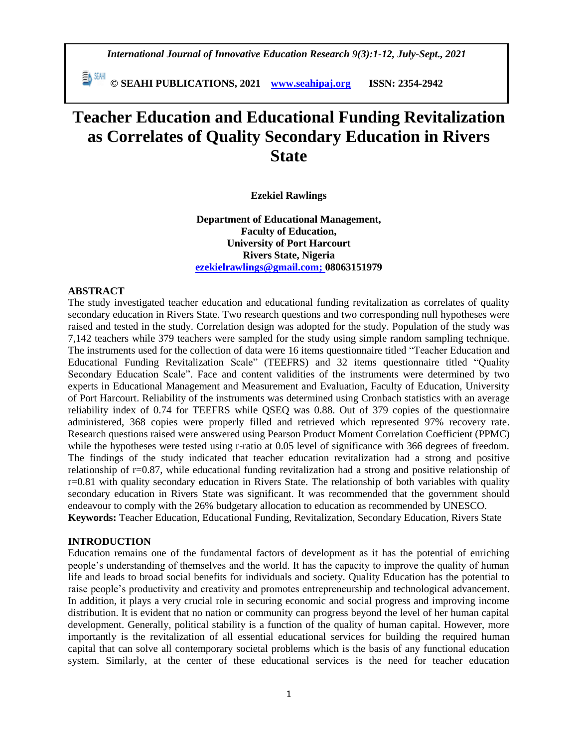*International Journal of Innovative Education Research 9(3):1-12, July-Sept., 2021*

 **© SEAHI PUBLICATIONS, 2021 [www.seahipaj.org](http://www.seahipaj.org/) ISSN: 2354-2942**

# **Teacher Education and Educational Funding Revitalization as Correlates of Quality Secondary Education in Rivers State**

### **Ezekiel Rawlings**

**Department of Educational Management, Faculty of Education, University of Port Harcourt Rivers State, Nigeria [ezekielrawlings@gmail.com;](mailto:ezekielrawlings@gmail.com) 08063151979**

### **ABSTRACT**

The study investigated teacher education and educational funding revitalization as correlates of quality secondary education in Rivers State. Two research questions and two corresponding null hypotheses were raised and tested in the study. Correlation design was adopted for the study. Population of the study was 7,142 teachers while 379 teachers were sampled for the study using simple random sampling technique. The instruments used for the collection of data were 16 items questionnaire titled "Teacher Education and Educational Funding Revitalization Scale" (TEEFRS) and 32 items questionnaire titled "Quality Secondary Education Scale". Face and content validities of the instruments were determined by two experts in Educational Management and Measurement and Evaluation, Faculty of Education, University of Port Harcourt. Reliability of the instruments was determined using Cronbach statistics with an average reliability index of 0.74 for TEEFRS while QSEQ was 0.88. Out of 379 copies of the questionnaire administered, 368 copies were properly filled and retrieved which represented 97% recovery rate. Research questions raised were answered using Pearson Product Moment Correlation Coefficient (PPMC) while the hypotheses were tested using r-ratio at 0.05 level of significance with 366 degrees of freedom. The findings of the study indicated that teacher education revitalization had a strong and positive relationship of r=0.87, while educational funding revitalization had a strong and positive relationship of r=0.81 with quality secondary education in Rivers State. The relationship of both variables with quality secondary education in Rivers State was significant. It was recommended that the government should endeavour to comply with the 26% budgetary allocation to education as recommended by UNESCO. **Keywords:** Teacher Education, Educational Funding, Revitalization, Secondary Education, Rivers State

## **INTRODUCTION**

Education remains one of the fundamental factors of development as it has the potential of enriching people's understanding of themselves and the world. It has the capacity to improve the quality of human life and leads to broad social benefits for individuals and society. Quality Education has the potential to raise people's productivity and creativity and promotes entrepreneurship and technological advancement. In addition, it plays a very crucial role in securing economic and social progress and improving income distribution. It is evident that no nation or community can progress beyond the level of her human capital development. Generally, political stability is a function of the quality of human capital. However, more importantly is the revitalization of all essential educational services for building the required human capital that can solve all contemporary societal problems which is the basis of any functional education system. Similarly, at the center of these educational services is the need for teacher education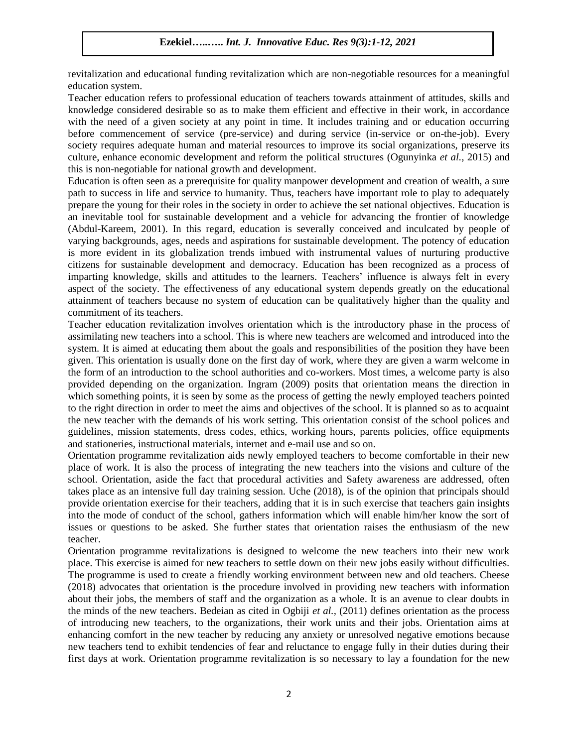revitalization and educational funding revitalization which are non-negotiable resources for a meaningful education system.

Teacher education refers to professional education of teachers towards attainment of attitudes, skills and knowledge considered desirable so as to make them efficient and effective in their work, in accordance with the need of a given society at any point in time. It includes training and or education occurring before commencement of service (pre-service) and during service (in-service or on-the-job). Every society requires adequate human and material resources to improve its social organizations, preserve its culture, enhance economic development and reform the political structures (Ogunyinka *et al.,* 2015) and this is non-negotiable for national growth and development.

Education is often seen as a prerequisite for quality manpower development and creation of wealth, a sure path to success in life and service to humanity. Thus, teachers have important role to play to adequately prepare the young for their roles in the society in order to achieve the set national objectives. Education is an inevitable tool for sustainable development and a vehicle for advancing the frontier of knowledge (Abdul-Kareem, 2001). In this regard, education is severally conceived and inculcated by people of varying backgrounds, ages, needs and aspirations for sustainable development. The potency of education is more evident in its globalization trends imbued with instrumental values of nurturing productive citizens for sustainable development and democracy. Education has been recognized as a process of imparting knowledge, skills and attitudes to the learners. Teachers' influence is always felt in every aspect of the society. The effectiveness of any educational system depends greatly on the educational attainment of teachers because no system of education can be qualitatively higher than the quality and commitment of its teachers.

Teacher education revitalization involves orientation which is the introductory phase in the process of assimilating new teachers into a school. This is where new teachers are welcomed and introduced into the system. It is aimed at educating them about the goals and responsibilities of the position they have been given. This orientation is usually done on the first day of work, where they are given a warm welcome in the form of an introduction to the school authorities and co-workers. Most times, a welcome party is also provided depending on the organization. Ingram (2009) posits that orientation means the direction in which something points, it is seen by some as the process of getting the newly employed teachers pointed to the right direction in order to meet the aims and objectives of the school. It is planned so as to acquaint the new teacher with the demands of his work setting. This orientation consist of the school polices and guidelines, mission statements, dress codes, ethics, working hours, parents policies, office equipments and stationeries, instructional materials, internet and e-mail use and so on.

Orientation programme revitalization aids newly employed teachers to become comfortable in their new place of work. It is also the process of integrating the new teachers into the visions and culture of the school. Orientation, aside the fact that procedural activities and Safety awareness are addressed, often takes place as an intensive full day training session. Uche (2018), is of the opinion that principals should provide orientation exercise for their teachers, adding that it is in such exercise that teachers gain insights into the mode of conduct of the school, gathers information which will enable him/her know the sort of issues or questions to be asked. She further states that orientation raises the enthusiasm of the new teacher.

Orientation programme revitalizations is designed to welcome the new teachers into their new work place. This exercise is aimed for new teachers to settle down on their new jobs easily without difficulties. The programme is used to create a friendly working environment between new and old teachers. Cheese (2018) advocates that orientation is the procedure involved in providing new teachers with information about their jobs, the members of staff and the organization as a whole. It is an avenue to clear doubts in the minds of the new teachers. Bedeian as cited in Ogbiji *et al.,* (2011) defines orientation as the process of introducing new teachers, to the organizations, their work units and their jobs. Orientation aims at enhancing comfort in the new teacher by reducing any anxiety or unresolved negative emotions because new teachers tend to exhibit tendencies of fear and reluctance to engage fully in their duties during their first days at work. Orientation programme revitalization is so necessary to lay a foundation for the new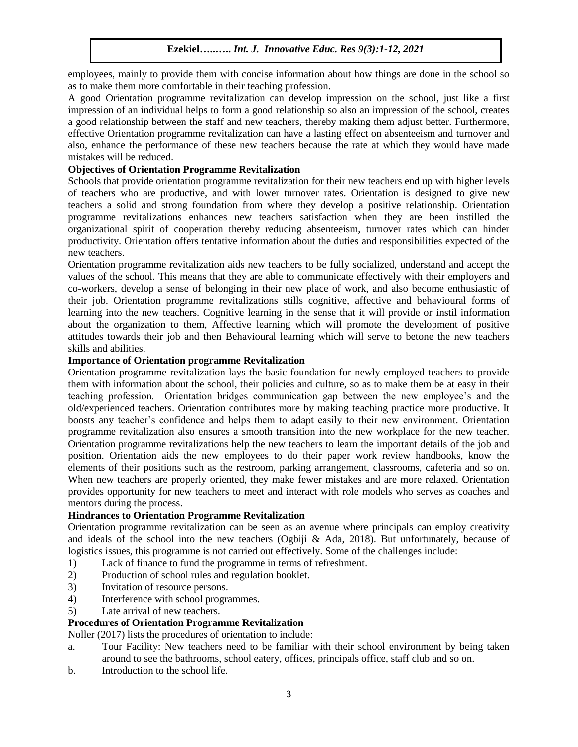employees, mainly to provide them with concise information about how things are done in the school so as to make them more comfortable in their teaching profession.

A good Orientation programme revitalization can develop impression on the school, just like a first impression of an individual helps to form a good relationship so also an impression of the school, creates a good relationship between the staff and new teachers, thereby making them adjust better. Furthermore, effective Orientation programme revitalization can have a lasting effect on absenteeism and turnover and also, enhance the performance of these new teachers because the rate at which they would have made mistakes will be reduced.

## **Objectives of Orientation Programme Revitalization**

Schools that provide orientation programme revitalization for their new teachers end up with higher levels of teachers who are productive, and with lower turnover rates. Orientation is designed to give new teachers a solid and strong foundation from where they develop a positive relationship. Orientation programme revitalizations enhances new teachers satisfaction when they are been instilled the organizational spirit of cooperation thereby reducing absenteeism, turnover rates which can hinder productivity. Orientation offers tentative information about the duties and responsibilities expected of the new teachers.

Orientation programme revitalization aids new teachers to be fully socialized, understand and accept the values of the school. This means that they are able to communicate effectively with their employers and co-workers, develop a sense of belonging in their new place of work, and also become enthusiastic of their job. Orientation programme revitalizations stills cognitive, affective and behavioural forms of learning into the new teachers. Cognitive learning in the sense that it will provide or instil information about the organization to them, Affective learning which will promote the development of positive attitudes towards their job and then Behavioural learning which will serve to betone the new teachers skills and abilities.

## **Importance of Orientation programme Revitalization**

Orientation programme revitalization lays the basic foundation for newly employed teachers to provide them with information about the school, their policies and culture, so as to make them be at easy in their teaching profession. Orientation bridges communication gap between the new employee's and the old/experienced teachers. Orientation contributes more by making teaching practice more productive. It boosts any teacher's confidence and helps them to adapt easily to their new environment. Orientation programme revitalization also ensures a smooth transition into the new workplace for the new teacher. Orientation programme revitalizations help the new teachers to learn the important details of the job and position. Orientation aids the new employees to do their paper work review handbooks, know the elements of their positions such as the restroom, parking arrangement, classrooms, cafeteria and so on. When new teachers are properly oriented, they make fewer mistakes and are more relaxed. Orientation provides opportunity for new teachers to meet and interact with role models who serves as coaches and mentors during the process.

# **Hindrances to Orientation Programme Revitalization**

Orientation programme revitalization can be seen as an avenue where principals can employ creativity and ideals of the school into the new teachers (Ogbiji & Ada, 2018). But unfortunately, because of logistics issues, this programme is not carried out effectively. Some of the challenges include:

- 1) Lack of finance to fund the programme in terms of refreshment.
- 2) Production of school rules and regulation booklet.
- 3) Invitation of resource persons.
- 4) Interference with school programmes.
- 5) Late arrival of new teachers.

# **Procedures of Orientation Programme Revitalization**

Noller (2017) lists the procedures of orientation to include:

- a. Tour Facility: New teachers need to be familiar with their school environment by being taken around to see the bathrooms, school eatery, offices, principals office, staff club and so on.
- b. Introduction to the school life.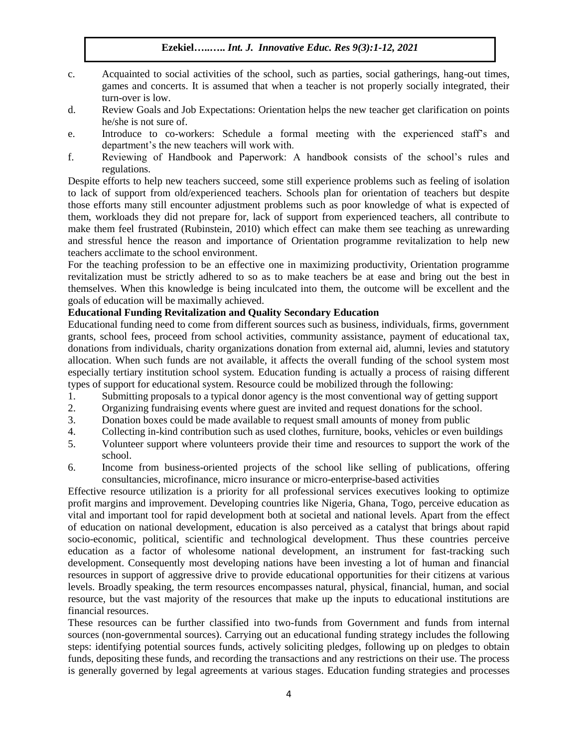- c. Acquainted to social activities of the school, such as parties, social gatherings, hang-out times, games and concerts. It is assumed that when a teacher is not properly socially integrated, their turn-over is low.
- d. Review Goals and Job Expectations: Orientation helps the new teacher get clarification on points he/she is not sure of.
- e. Introduce to co-workers: Schedule a formal meeting with the experienced staff's and department's the new teachers will work with.
- f. Reviewing of Handbook and Paperwork: A handbook consists of the school's rules and regulations.

Despite efforts to help new teachers succeed, some still experience problems such as feeling of isolation to lack of support from old/experienced teachers. Schools plan for orientation of teachers but despite those efforts many still encounter adjustment problems such as poor knowledge of what is expected of them, workloads they did not prepare for, lack of support from experienced teachers, all contribute to make them feel frustrated (Rubinstein, 2010) which effect can make them see teaching as unrewarding and stressful hence the reason and importance of Orientation programme revitalization to help new teachers acclimate to the school environment.

For the teaching profession to be an effective one in maximizing productivity, Orientation programme revitalization must be strictly adhered to so as to make teachers be at ease and bring out the best in themselves. When this knowledge is being inculcated into them, the outcome will be excellent and the goals of education will be maximally achieved.

# **Educational Funding Revitalization and Quality Secondary Education**

Educational funding need to come from different sources such as business, individuals, firms, government grants, school fees, proceed from school activities, community assistance, payment of educational tax, donations from individuals, charity organizations donation from external aid, alumni, levies and statutory allocation. When such funds are not available, it affects the overall funding of the school system most especially tertiary institution school system. Education funding is actually a process of raising different types of support for educational system. Resource could be mobilized through the following:

- 1. Submitting proposals to a typical donor agency is the most conventional way of getting support
- 2. Organizing fundraising events where guest are invited and request donations for the school.
- 3. Donation boxes could be made available to request small amounts of money from public
- 4. Collecting in-kind contribution such as used clothes, furniture, books, vehicles or even buildings
- 5. Volunteer support where volunteers provide their time and resources to support the work of the school.
- 6. Income from business-oriented projects of the school like selling of publications, offering consultancies, microfinance, micro insurance or micro-enterprise-based activities

Effective resource utilization is a priority for all professional services executives looking to optimize profit margins and improvement. Developing countries like Nigeria, Ghana, Togo, perceive education as vital and important tool for rapid development both at societal and national levels. Apart from the effect of education on national development, education is also perceived as a catalyst that brings about rapid socio-economic, political, scientific and technological development. Thus these countries perceive education as a factor of wholesome national development, an instrument for fast-tracking such development. Consequently most developing nations have been investing a lot of human and financial resources in support of aggressive drive to provide educational opportunities for their citizens at various levels. Broadly speaking, the term resources encompasses natural, physical, financial, human, and social resource, but the vast majority of the resources that make up the inputs to educational institutions are financial resources.

These resources can be further classified into two-funds from Government and funds from internal sources (non-governmental sources). Carrying out an educational funding strategy includes the following steps: identifying potential sources funds, actively soliciting pledges, following up on pledges to obtain funds, depositing these funds, and recording the transactions and any restrictions on their use. The process is generally governed by legal agreements at various stages. Education funding strategies and processes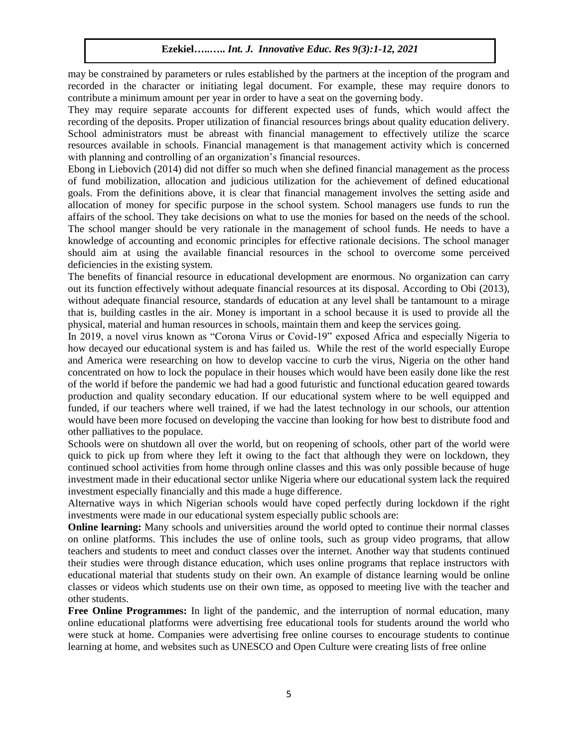may be constrained by parameters or rules established by the partners at the inception of the program and recorded in the character or initiating legal document. For example, these may require donors to contribute a minimum amount per year in order to have a seat on the governing body.

They may require separate accounts for different expected uses of funds, which would affect the recording of the deposits. Proper utilization of financial resources brings about quality education delivery. School administrators must be abreast with financial management to effectively utilize the scarce resources available in schools. Financial management is that management activity which is concerned with planning and controlling of an organization's financial resources.

Ebong in Liebovich (2014) did not differ so much when she defined financial management as the process of fund mobilization, allocation and judicious utilization for the achievement of defined educational goals. From the definitions above, it is clear that financial management involves the setting aside and allocation of money for specific purpose in the school system. School managers use funds to run the affairs of the school. They take decisions on what to use the monies for based on the needs of the school. The school manger should be very rationale in the management of school funds. He needs to have a knowledge of accounting and economic principles for effective rationale decisions. The school manager should aim at using the available financial resources in the school to overcome some perceived deficiencies in the existing system.

The benefits of financial resource in educational development are enormous. No organization can carry out its function effectively without adequate financial resources at its disposal. According to Obi (2013), without adequate financial resource, standards of education at any level shall be tantamount to a mirage that is, building castles in the air. Money is important in a school because it is used to provide all the physical, material and human resources in schools, maintain them and keep the services going.

In 2019, a novel virus known as "Corona Virus or Covid-19" exposed Africa and especially Nigeria to how decayed our educational system is and has failed us. While the rest of the world especially Europe and America were researching on how to develop vaccine to curb the virus, Nigeria on the other hand concentrated on how to lock the populace in their houses which would have been easily done like the rest of the world if before the pandemic we had had a good futuristic and functional education geared towards production and quality secondary education. If our educational system where to be well equipped and funded, if our teachers where well trained, if we had the latest technology in our schools, our attention would have been more focused on developing the vaccine than looking for how best to distribute food and other palliatives to the populace.

Schools were on shutdown all over the world, but on reopening of schools, other part of the world were quick to pick up from where they left it owing to the fact that although they were on lockdown, they continued school activities from home through online classes and this was only possible because of huge investment made in their educational sector unlike Nigeria where our educational system lack the required investment especially financially and this made a huge difference.

Alternative ways in which Nigerian schools would have coped perfectly during lockdown if the right investments were made in our educational system especially public schools are:

**Online learning:** Many schools and universities around the world opted to continue their normal classes on online platforms. This includes the use of online tools, such as group video programs, that allow teachers and students to meet and conduct classes over the internet. Another way that students continued their studies were through distance education, which uses online programs that replace instructors with educational material that students study on their own. An example of distance learning would be online classes or videos which students use on their own time, as opposed to meeting live with the teacher and other students.

**Free Online Programmes:** In light of the pandemic, and the interruption of normal education, many online educational platforms were advertising free educational tools for students around the world who were stuck at home. Companies were advertising free online courses to encourage students to continue learning at home, and websites such as UNESCO and Open Culture were creating lists of free online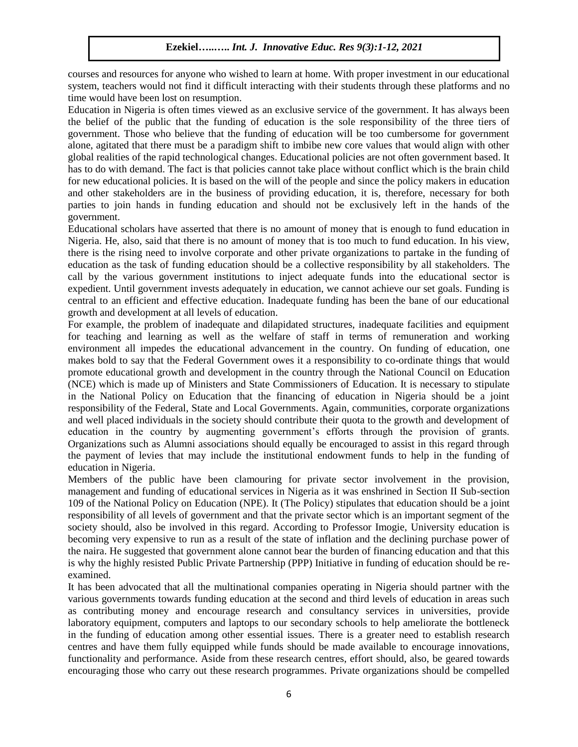courses and resources for anyone who wished to learn at home. With proper investment in our educational system, teachers would not find it difficult interacting with their students through these platforms and no time would have been lost on resumption.

Education in Nigeria is often times viewed as an exclusive service of the government. It has always been the belief of the public that the funding of education is the sole responsibility of the three tiers of government. Those who believe that the funding of education will be too cumbersome for government alone, agitated that there must be a paradigm shift to imbibe new core values that would align with other global realities of the rapid technological changes. Educational policies are not often government based. It has to do with demand. The fact is that policies cannot take place without conflict which is the brain child for new educational policies. It is based on the will of the people and since the policy makers in education and other stakeholders are in the business of providing education, it is, therefore, necessary for both parties to join hands in funding education and should not be exclusively left in the hands of the government.

Educational scholars have asserted that there is no amount of money that is enough to fund education in Nigeria. He, also, said that there is no amount of money that is too much to fund education. In his view, there is the rising need to involve corporate and other private organizations to partake in the funding of education as the task of funding education should be a collective responsibility by all stakeholders. The call by the various government institutions to inject adequate funds into the educational sector is expedient. Until government invests adequately in education, we cannot achieve our set goals. Funding is central to an efficient and effective education. Inadequate funding has been the bane of our educational growth and development at all levels of education.

For example, the problem of inadequate and dilapidated structures, inadequate facilities and equipment for teaching and learning as well as the welfare of staff in terms of remuneration and working environment all impedes the educational advancement in the country. On funding of education, one makes bold to say that the Federal Government owes it a responsibility to co-ordinate things that would promote educational growth and development in the country through the National Council on Education (NCE) which is made up of Ministers and State Commissioners of Education. It is necessary to stipulate in the National Policy on Education that the financing of education in Nigeria should be a joint responsibility of the Federal, State and Local Governments. Again, communities, corporate organizations and well placed individuals in the society should contribute their quota to the growth and development of education in the country by augmenting government's efforts through the provision of grants. Organizations such as Alumni associations should equally be encouraged to assist in this regard through the payment of levies that may include the institutional endowment funds to help in the funding of education in Nigeria.

Members of the public have been clamouring for private sector involvement in the provision, management and funding of educational services in Nigeria as it was enshrined in Section II Sub-section 109 of the National Policy on Education (NPE). It (The Policy) stipulates that education should be a joint responsibility of all levels of government and that the private sector which is an important segment of the society should, also be involved in this regard. According to Professor Imogie, University education is becoming very expensive to run as a result of the state of inflation and the declining purchase power of the naira. He suggested that government alone cannot bear the burden of financing education and that this is why the highly resisted Public Private Partnership (PPP) Initiative in funding of education should be reexamined.

It has been advocated that all the multinational companies operating in Nigeria should partner with the various governments towards funding education at the second and third levels of education in areas such as contributing money and encourage research and consultancy services in universities, provide laboratory equipment, computers and laptops to our secondary schools to help ameliorate the bottleneck in the funding of education among other essential issues. There is a greater need to establish research centres and have them fully equipped while funds should be made available to encourage innovations, functionality and performance. Aside from these research centres, effort should, also, be geared towards encouraging those who carry out these research programmes. Private organizations should be compelled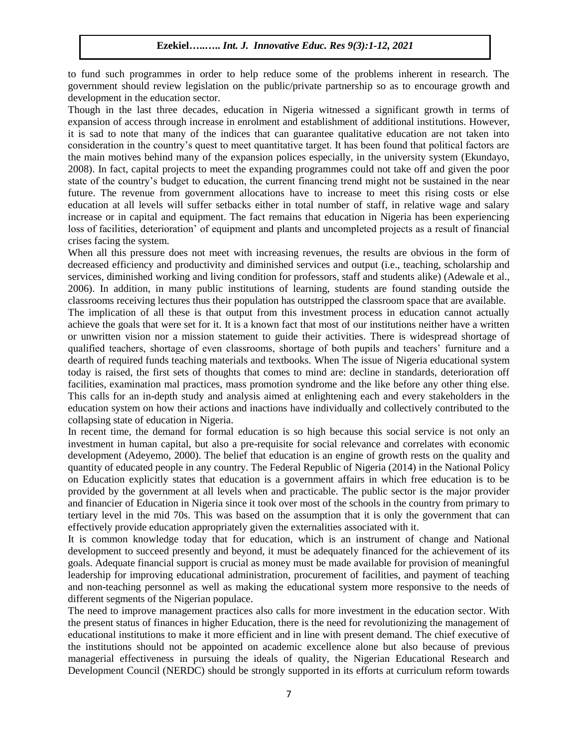to fund such programmes in order to help reduce some of the problems inherent in research. The government should review legislation on the public/private partnership so as to encourage growth and development in the education sector.

Though in the last three decades, education in Nigeria witnessed a significant growth in terms of expansion of access through increase in enrolment and establishment of additional institutions. However, it is sad to note that many of the indices that can guarantee qualitative education are not taken into consideration in the country's quest to meet quantitative target. It has been found that political factors are the main motives behind many of the expansion polices especially, in the university system (Ekundayo, 2008). In fact, capital projects to meet the expanding programmes could not take off and given the poor state of the country's budget to education, the current financing trend might not be sustained in the near future. The revenue from government allocations have to increase to meet this rising costs or else education at all levels will suffer setbacks either in total number of staff, in relative wage and salary increase or in capital and equipment. The fact remains that education in Nigeria has been experiencing loss of facilities, deterioration' of equipment and plants and uncompleted projects as a result of financial crises facing the system.

When all this pressure does not meet with increasing revenues, the results are obvious in the form of decreased efficiency and productivity and diminished services and output (i.e., teaching, scholarship and services, diminished working and living condition for professors, staff and students alike) (Adewale et al., 2006). In addition, in many public institutions of learning, students are found standing outside the classrooms receiving lectures thus their population has outstripped the classroom space that are available.

The implication of all these is that output from this investment process in education cannot actually achieve the goals that were set for it. It is a known fact that most of our institutions neither have a written or unwritten vision nor a mission statement to guide their activities. There is widespread shortage of qualified teachers, shortage of even classrooms, shortage of both pupils and teachers' furniture and a dearth of required funds teaching materials and textbooks. When The issue of Nigeria educational system today is raised, the first sets of thoughts that comes to mind are: decline in standards, deterioration off facilities, examination mal practices, mass promotion syndrome and the like before any other thing else. This calls for an in-depth study and analysis aimed at enlightening each and every stakeholders in the education system on how their actions and inactions have individually and collectively contributed to the collapsing state of education in Nigeria.

In recent time, the demand for formal education is so high because this social service is not only an investment in human capital, but also a pre-requisite for social relevance and correlates with economic development (Adeyemo, 2000). The belief that education is an engine of growth rests on the quality and quantity of educated people in any country. The Federal Republic of Nigeria (2014) in the National Policy on Education explicitly states that education is a government affairs in which free education is to be provided by the government at all levels when and practicable. The public sector is the major provider and financier of Education in Nigeria since it took over most of the schools in the country from primary to tertiary level in the mid 70s. This was based on the assumption that it is only the government that can effectively provide education appropriately given the externalities associated with it.

It is common knowledge today that for education, which is an instrument of change and National development to succeed presently and beyond, it must be adequately financed for the achievement of its goals. Adequate financial support is crucial as money must be made available for provision of meaningful leadership for improving educational administration, procurement of facilities, and payment of teaching and non-teaching personnel as well as making the educational system more responsive to the needs of different segments of the Nigerian populace.

The need to improve management practices also calls for more investment in the education sector. With the present status of finances in higher Education, there is the need for revolutionizing the management of educational institutions to make it more efficient and in line with present demand. The chief executive of the institutions should not be appointed on academic excellence alone but also because of previous managerial effectiveness in pursuing the ideals of quality, the Nigerian Educational Research and Development Council (NERDC) should be strongly supported in its efforts at curriculum reform towards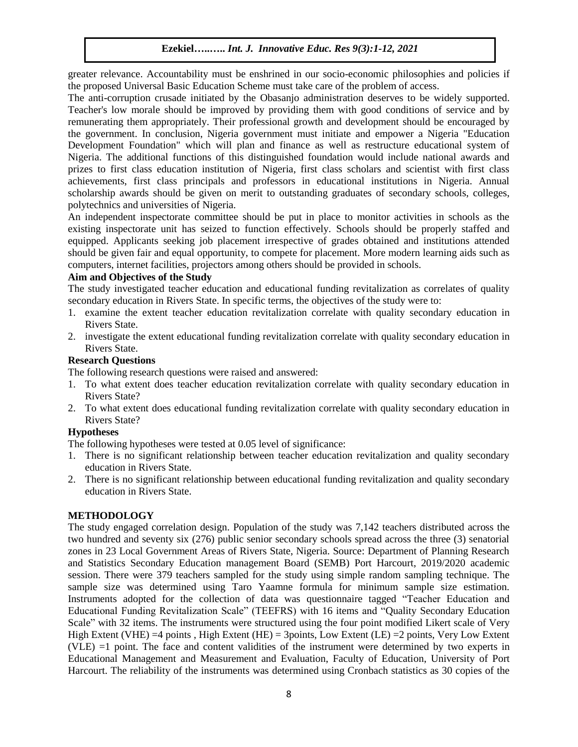greater relevance. Accountability must be enshrined in our socio-economic philosophies and policies if the proposed Universal Basic Education Scheme must take care of the problem of access.

The anti-corruption crusade initiated by the Obasanjo administration deserves to be widely supported. Teacher's low morale should be improved by providing them with good conditions of service and by remunerating them appropriately. Their professional growth and development should be encouraged by the government. In conclusion, Nigeria government must initiate and empower a Nigeria "Education Development Foundation" which will plan and finance as well as restructure educational system of Nigeria. The additional functions of this distinguished foundation would include national awards and prizes to first class education institution of Nigeria, first class scholars and scientist with first class achievements, first class principals and professors in educational institutions in Nigeria. Annual scholarship awards should be given on merit to outstanding graduates of secondary schools, colleges, polytechnics and universities of Nigeria.

An independent inspectorate committee should be put in place to monitor activities in schools as the existing inspectorate unit has seized to function effectively. Schools should be properly staffed and equipped. Applicants seeking job placement irrespective of grades obtained and institutions attended should be given fair and equal opportunity, to compete for placement. More modern learning aids such as computers, internet facilities, projectors among others should be provided in schools.

# **Aim and Objectives of the Study**

The study investigated teacher education and educational funding revitalization as correlates of quality secondary education in Rivers State. In specific terms, the objectives of the study were to:

- 1. examine the extent teacher education revitalization correlate with quality secondary education in Rivers State.
- 2. investigate the extent educational funding revitalization correlate with quality secondary education in Rivers State.

# **Research Questions**

The following research questions were raised and answered:

- 1. To what extent does teacher education revitalization correlate with quality secondary education in Rivers State?
- 2. To what extent does educational funding revitalization correlate with quality secondary education in Rivers State?

# **Hypotheses**

The following hypotheses were tested at 0.05 level of significance:

- 1. There is no significant relationship between teacher education revitalization and quality secondary education in Rivers State.
- 2. There is no significant relationship between educational funding revitalization and quality secondary education in Rivers State.

# **METHODOLOGY**

The study engaged correlation design. Population of the study was 7,142 teachers distributed across the two hundred and seventy six (276) public senior secondary schools spread across the three (3) senatorial zones in 23 Local Government Areas of Rivers State, Nigeria. Source: Department of Planning Research and Statistics Secondary Education management Board (SEMB) Port Harcourt, 2019/2020 academic session. There were 379 teachers sampled for the study using simple random sampling technique. The sample size was determined using Taro Yaamne formula for minimum sample size estimation. Instruments adopted for the collection of data was questionnaire tagged "Teacher Education and Educational Funding Revitalization Scale" (TEEFRS) with 16 items and "Quality Secondary Education Scale" with 32 items. The instruments were structured using the four point modified Likert scale of Very High Extent (VHE) =4 points , High Extent (HE) = 3points, Low Extent (LE) =2 points, Very Low Extent (VLE) =1 point. The face and content validities of the instrument were determined by two experts in Educational Management and Measurement and Evaluation, Faculty of Education, University of Port Harcourt. The reliability of the instruments was determined using Cronbach statistics as 30 copies of the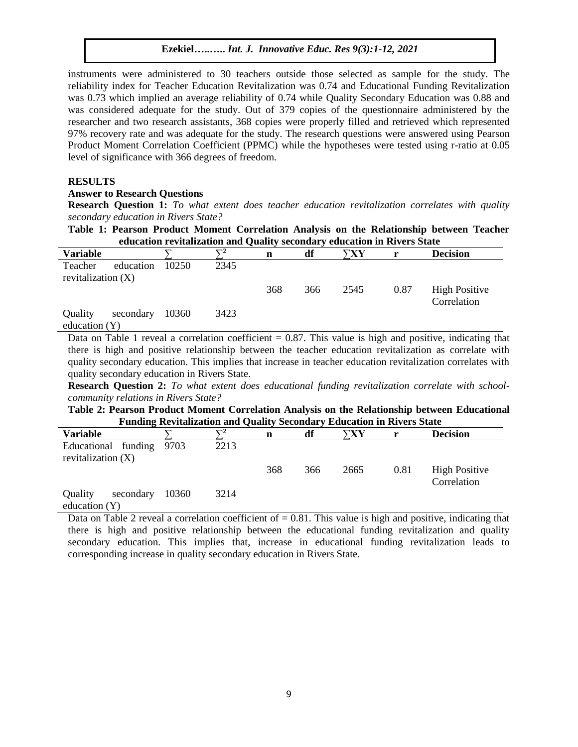instruments were administered to 30 teachers outside those selected as sample for the study. The reliability index for Teacher Education Revitalization was 0.74 and Educational Funding Revitalization was 0.73 which implied an average reliability of 0.74 while Quality Secondary Education was 0.88 and was considered adequate for the study. Out of 379 copies of the questionnaire administered by the researcher and two research assistants, 368 copies were properly filled and retrieved which represented 97% recovery rate and was adequate for the study. The research questions were answered using Pearson Product Moment Correlation Coefficient (PPMC) while the hypotheses were tested using r-ratio at 0.05 level of significance with 366 degrees of freedom.

## **RESULTS**

### **Answer to Research Questions**

**Research Question 1:** *To what extent does teacher education revitalization correlates with quality secondary education in Rivers State?*

## **Table 1: Pearson Product Moment Correlation Analysis on the Relationship between Teacher education revitalization and Quality secondary education in Rivers State**

| <b>Variable</b>      |           |       | $\nabla^2$ | n   | df  | $\nabla XY$ |      | <b>Decision</b>      |
|----------------------|-----------|-------|------------|-----|-----|-------------|------|----------------------|
| Teacher              | education | 10250 | 2345       |     |     |             |      |                      |
| revitalization $(X)$ |           |       |            |     |     |             |      |                      |
|                      |           |       |            | 368 | 366 | 2545        | 0.87 | <b>High Positive</b> |
|                      |           |       |            |     |     |             |      | Correlation          |
| Quality              | secondary | 10360 | 3423       |     |     |             |      |                      |
| education $(Y)$      |           |       |            |     |     |             |      |                      |

Data on Table 1 reveal a correlation coefficient  $= 0.87$ . This value is high and positive, indicating that there is high and positive relationship between the teacher education revitalization as correlate with quality secondary education. This implies that increase in teacher education revitalization correlates with quality secondary education in Rivers State.

**Research Question 2:** *To what extent does educational funding revitalization correlate with schoolcommunity relations in Rivers State?*

**Table 2: Pearson Product Moment Correlation Analysis on the Relationship between Educational Funding Revitalization and Quality Secondary Education in Rivers State**

| <b>Variable</b>          |       | $\mathbf{u}_2$ | n   | df  | `XY  |      | <b>Decision</b>      |
|--------------------------|-------|----------------|-----|-----|------|------|----------------------|
| Educational funding 9703 |       | 2213           |     |     |      |      |                      |
| revitalization $(X)$     |       |                |     |     |      |      |                      |
|                          |       |                | 368 | 366 | 2665 | 0.81 | <b>High Positive</b> |
|                          |       |                |     |     |      |      | Correlation          |
| secondary<br>Quality     | 10360 | 3214           |     |     |      |      |                      |
| advastion (V)            |       |                |     |     |      |      |                      |

education (Y)

Data on Table 2 reveal a correlation coefficient of  $= 0.81$ . This value is high and positive, indicating that there is high and positive relationship between the educational funding revitalization and quality secondary education. This implies that, increase in educational funding revitalization leads to corresponding increase in quality secondary education in Rivers State.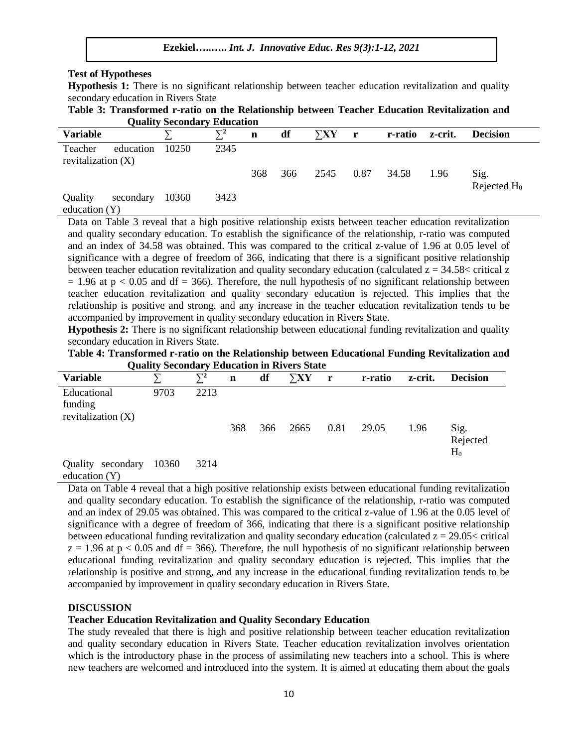#### **Test of Hypotheses**

**Hypothesis 1:** There is no significant relationship between teacher education revitalization and quality secondary education in Rivers State

**Table 3: Transformed r-ratio on the Relationship between Teacher Education Revitalization and Quality Secondary Education**

|                                 |           | Quanty Secondary Education |            |             |     |             |              |         |         |                        |
|---------------------------------|-----------|----------------------------|------------|-------------|-----|-------------|--------------|---------|---------|------------------------|
| <b>Variable</b>                 |           |                            | $\nabla^2$ | $\mathbf n$ | df  | $\Sigma XY$ | $\mathbf{r}$ | r-ratio | z-crit. | <b>Decision</b>        |
| Teacher<br>revitalization $(X)$ | education | 10250                      | 2345       |             |     |             |              |         |         |                        |
|                                 |           |                            |            | 368         | 366 | 2545        | 0.87         | 34.58   | 1.96    | Sig.<br>Rejected $H_0$ |
| Quality<br>education $(Y)$      | secondary | 10360                      | 3423       |             |     |             |              |         |         |                        |

Data on Table 3 reveal that a high positive relationship exists between teacher education revitalization and quality secondary education. To establish the significance of the relationship, r-ratio was computed and an index of 34.58 was obtained. This was compared to the critical z-value of 1.96 at 0.05 level of significance with a degree of freedom of 366, indicating that there is a significant positive relationship between teacher education revitalization and quality secondary education (calculated  $z = 34.58 <$  critical z  $= 1.96$  at p  $< 0.05$  and df  $= 366$ ). Therefore, the null hypothesis of no significant relationship between teacher education revitalization and quality secondary education is rejected. This implies that the relationship is positive and strong, and any increase in the teacher education revitalization tends to be accompanied by improvement in quality secondary education in Rivers State.

**Hypothesis 2:** There is no significant relationship between educational funding revitalization and quality secondary education in Rivers State.

| Table 4: Transformed r-ratio on the Relationship between Educational Funding Revitalization and |  |
|-------------------------------------------------------------------------------------------------|--|
| <b>Quality Secondary Education in Rivers State</b>                                              |  |

| <b>Variable</b>                                |       | $\nabla^2$ | $\mathbf n$ | df  | $\Sigma XY$ | $\mathbf{r}$ | r-ratio | z-crit. | <b>Decision</b>           |
|------------------------------------------------|-------|------------|-------------|-----|-------------|--------------|---------|---------|---------------------------|
| Educational<br>funding<br>revitalization $(X)$ | 9703  | 2213       |             |     |             |              |         |         |                           |
|                                                |       |            | 368         | 366 | 2665        | 0.81         | 29.05   | 1.96    | Sig.<br>Rejected<br>$H_0$ |
| secondary<br>Quality                           | 10360 | 3214       |             |     |             |              |         |         |                           |

education (Y)

Data on Table 4 reveal that a high positive relationship exists between educational funding revitalization and quality secondary education. To establish the significance of the relationship, r-ratio was computed and an index of 29.05 was obtained. This was compared to the critical z-value of 1.96 at the 0.05 level of significance with a degree of freedom of 366, indicating that there is a significant positive relationship between educational funding revitalization and quality secondary education (calculated  $z = 29.05 <$  critical  $z = 1.96$  at  $p < 0.05$  and df = 366). Therefore, the null hypothesis of no significant relationship between educational funding revitalization and quality secondary education is rejected. This implies that the relationship is positive and strong, and any increase in the educational funding revitalization tends to be accompanied by improvement in quality secondary education in Rivers State.

### **DISCUSSION**

### **Teacher Education Revitalization and Quality Secondary Education**

The study revealed that there is high and positive relationship between teacher education revitalization and quality secondary education in Rivers State. Teacher education revitalization involves orientation which is the introductory phase in the process of assimilating new teachers into a school. This is where new teachers are welcomed and introduced into the system. It is aimed at educating them about the goals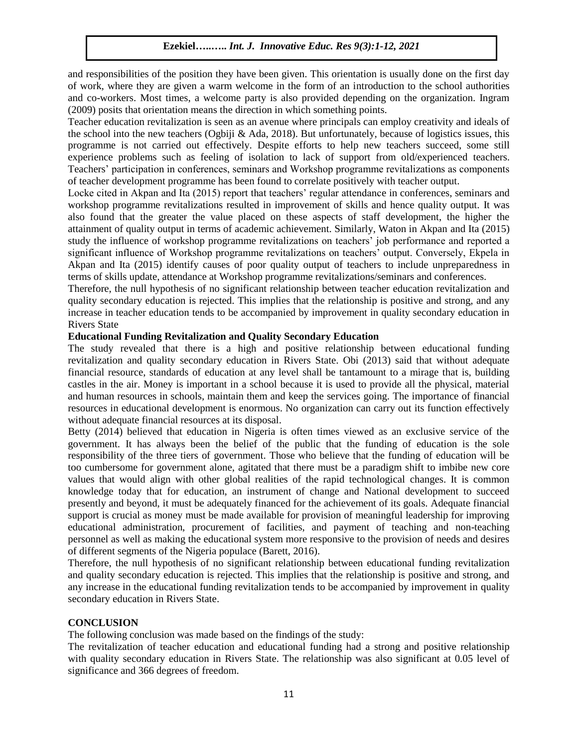and responsibilities of the position they have been given. This orientation is usually done on the first day of work, where they are given a warm welcome in the form of an introduction to the school authorities and co-workers. Most times, a welcome party is also provided depending on the organization. Ingram (2009) posits that orientation means the direction in which something points.

Teacher education revitalization is seen as an avenue where principals can employ creativity and ideals of the school into the new teachers (Ogbiji & Ada, 2018). But unfortunately, because of logistics issues, this programme is not carried out effectively. Despite efforts to help new teachers succeed, some still experience problems such as feeling of isolation to lack of support from old/experienced teachers. Teachers' participation in conferences, seminars and Workshop programme revitalizations as components of teacher development programme has been found to correlate positively with teacher output.

Locke cited in Akpan and Ita (2015) report that teachers' regular attendance in conferences, seminars and workshop programme revitalizations resulted in improvement of skills and hence quality output. It was also found that the greater the value placed on these aspects of staff development, the higher the attainment of quality output in terms of academic achievement. Similarly, Waton in Akpan and Ita (2015) study the influence of workshop programme revitalizations on teachers' job performance and reported a significant influence of Workshop programme revitalizations on teachers' output. Conversely, Ekpela in Akpan and Ita (2015) identify causes of poor quality output of teachers to include unpreparedness in terms of skills update, attendance at Workshop programme revitalizations/seminars and conferences.

Therefore, the null hypothesis of no significant relationship between teacher education revitalization and quality secondary education is rejected. This implies that the relationship is positive and strong, and any increase in teacher education tends to be accompanied by improvement in quality secondary education in Rivers State

# **Educational Funding Revitalization and Quality Secondary Education**

The study revealed that there is a high and positive relationship between educational funding revitalization and quality secondary education in Rivers State. Obi (2013) said that without adequate financial resource, standards of education at any level shall be tantamount to a mirage that is, building castles in the air. Money is important in a school because it is used to provide all the physical, material and human resources in schools, maintain them and keep the services going. The importance of financial resources in educational development is enormous. No organization can carry out its function effectively without adequate financial resources at its disposal.

Betty (2014) believed that education in Nigeria is often times viewed as an exclusive service of the government. It has always been the belief of the public that the funding of education is the sole responsibility of the three tiers of government. Those who believe that the funding of education will be too cumbersome for government alone, agitated that there must be a paradigm shift to imbibe new core values that would align with other global realities of the rapid technological changes. It is common knowledge today that for education, an instrument of change and National development to succeed presently and beyond, it must be adequately financed for the achievement of its goals. Adequate financial support is crucial as money must be made available for provision of meaningful leadership for improving educational administration, procurement of facilities, and payment of teaching and non-teaching personnel as well as making the educational system more responsive to the provision of needs and desires of different segments of the Nigeria populace (Barett, 2016).

Therefore, the null hypothesis of no significant relationship between educational funding revitalization and quality secondary education is rejected. This implies that the relationship is positive and strong, and any increase in the educational funding revitalization tends to be accompanied by improvement in quality secondary education in Rivers State.

## **CONCLUSION**

The following conclusion was made based on the findings of the study:

The revitalization of teacher education and educational funding had a strong and positive relationship with quality secondary education in Rivers State. The relationship was also significant at 0.05 level of significance and 366 degrees of freedom.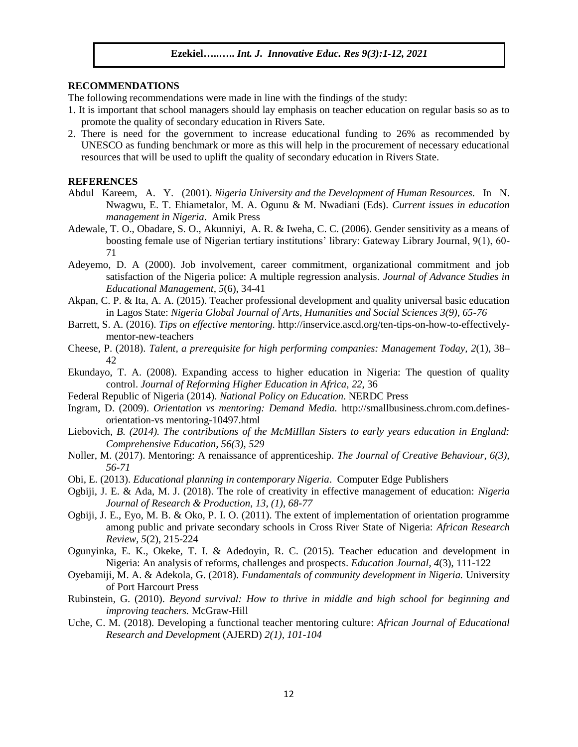#### **RECOMMENDATIONS**

The following recommendations were made in line with the findings of the study:

- 1. It is important that school managers should lay emphasis on teacher education on regular basis so as to promote the quality of secondary education in Rivers Sate.
- 2. There is need for the government to increase educational funding to 26% as recommended by UNESCO as funding benchmark or more as this will help in the procurement of necessary educational resources that will be used to uplift the quality of secondary education in Rivers State.

#### **REFERENCES**

- Abdul Kareem, A. Y. (2001). *Nigeria University and the Development of Human Resources*. In N. Nwagwu, E. T. Ehiametalor, M. A. Ogunu & M. Nwadiani (Eds). *Current issues in education management in Nigeria*. Amik Press
- Adewale, T. O., Obadare, S. O., Akunniyi, A. R. & Iweha, C. C. (2006). Gender sensitivity as a means of boosting female use of Nigerian tertiary institutions' library: Gateway Library Journal, 9(1), 60- 71
- Adeyemo, D. A (2000). Job involvement, career commitment, organizational commitment and job satisfaction of the Nigeria police: A multiple regression analysis. *Journal of Advance Studies in Educational Management, 5*(6), 34-41
- Akpan, C. P. & Ita, A. A. (2015). Teacher professional development and quality universal basic education in Lagos State: *Nigeria Global Journal of Arts, Humanities and Social Sciences 3(9), 65-76*
- Barrett, S. A. (2016). *Tips on effective mentoring.* [http://inservice.ascd.org/ten-tips-on-how-to-effectively](http://inservice.ascd.org/ten-tips-on-how-to-effectively-mentor-new-teachers)[mentor-new-teachers](http://inservice.ascd.org/ten-tips-on-how-to-effectively-mentor-new-teachers)
- Cheese, P. (2018). *Talent, a prerequisite for high performing companies: Management Today, 2*(1), 38– 42
- Ekundayo, T. A. (2008). Expanding access to higher education in Nigeria: The question of quality control. *Journal of Reforming Higher Education in Africa, 22*, 36
- Federal Republic of Nigeria (2014). *National Policy on Education*. NERDC Press
- Ingram, D. (2009). *Orientation vs mentoring: Demand Media.* [http://smallbusiness.chrom.com.defines](http://smallbusiness.chrom.com.defines-orientation-usmentoring-10497.html/)[orientation-vs mentoring-10497.html](http://smallbusiness.chrom.com.defines-orientation-usmentoring-10497.html/)
- Liebovich*, B. (2014). The contributions of the McMiIllan Sisters to early years education in England: Comprehensive Education, 56(3), 529*
- Noller, M. (2017). Mentoring: A renaissance of apprenticeship. *The Journal of Creative Behaviour, 6(3), 56-71*
- Obi, E. (2013). *Educational planning in contemporary Nigeria*. Computer Edge Publishers
- Ogbiji, J. E. & Ada, M. J. (2018). The role of creativity in effective management of education: *Nigeria Journal of Research & Production*, *13, (1), 68-77*
- Ogbiji, J. E., Eyo, M. B. & Oko, P. I. O. (2011). The extent of implementation of orientation programme among public and private secondary schools in Cross River State of Nigeria: *African Research Review, 5*(2), 215-224
- Ogunyinka, E. K., Okeke, T. I. & Adedoyin, R. C. (2015). Teacher education and development in Nigeria: An analysis of reforms, challenges and prospects. *Education Journal, 4*(3), 111-122
- Oyebamiji, M. A. & Adekola, G. (2018). *Fundamentals of community development in Nigeria.* University of Port Harcourt Press
- Rubinstein, G. (2010). *Beyond survival: How to thrive in middle and high school for beginning and improving teachers.* McGraw-Hill
- Uche, C. M. (2018). Developing a functional teacher mentoring culture: *African Journal of Educational Research and Development* (AJERD) *2(1), 101-104*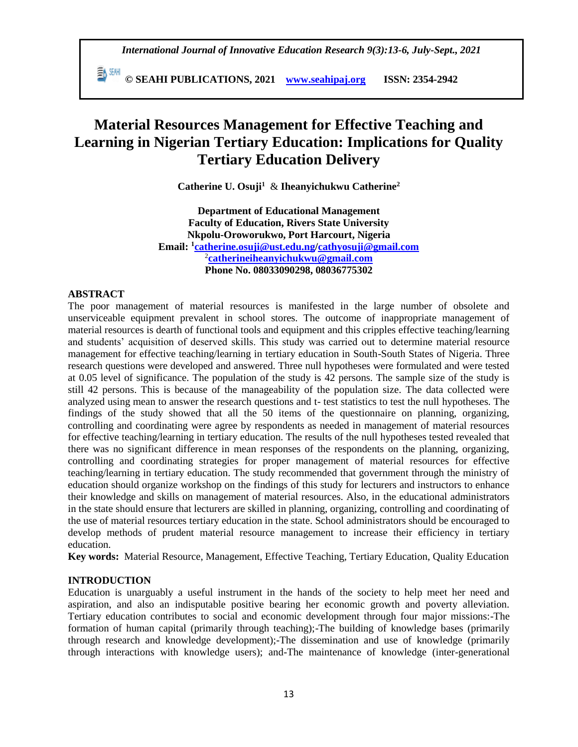**© SEAHI PUBLICATIONS, 2021 [www.seahipaj.org](http://www.seahipaj.org/) ISSN: 2354-2942**

# **Material Resources Management for Effective Teaching and Learning in Nigerian Tertiary Education: Implications for Quality Tertiary Education Delivery**

**Catherine U. Osuji<sup>1</sup>** & **Iheanyichukwu Catherine<sup>2</sup>**

**Department of Educational Management Faculty of Education, Rivers State University Nkpolu-Oroworukwo, Port Harcourt, Nigeria Email: <sup>1</sup> [catherine.osuji@ust.edu.ng/](mailto:catherine.osuji@ust.edu.ng)[cathyosuji@gmail.com](mailto:cathyosuji@gmail.com)** 2 **[catherineiheanyichukwu@gmail.com](mailto:catherineiheanyichukwu@gmail.com) Phone No. 08033090298, 08036775302**

## **ABSTRACT**

The poor management of material resources is manifested in the large number of obsolete and unserviceable equipment prevalent in school stores. The outcome of inappropriate management of material resources is dearth of functional tools and equipment and this cripples effective teaching/learning and students' acquisition of deserved skills. This study was carried out to determine material resource management for effective teaching/learning in tertiary education in South-South States of Nigeria. Three research questions were developed and answered. Three null hypotheses were formulated and were tested at 0.05 level of significance. The population of the study is 42 persons. The sample size of the study is still 42 persons. This is because of the manageability of the population size. The data collected were analyzed using mean to answer the research questions and t- test statistics to test the null hypotheses. The findings of the study showed that all the 50 items of the questionnaire on planning, organizing, controlling and coordinating were agree by respondents as needed in management of material resources for effective teaching/learning in tertiary education. The results of the null hypotheses tested revealed that there was no significant difference in mean responses of the respondents on the planning, organizing, controlling and coordinating strategies for proper management of material resources for effective teaching/learning in tertiary education. The study recommended that government through the ministry of education should organize workshop on the findings of this study for lecturers and instructors to enhance their knowledge and skills on management of material resources. Also, in the educational administrators in the state should ensure that lecturers are skilled in planning, organizing, controlling and coordinating of the use of material resources tertiary education in the state. School administrators should be encouraged to develop methods of prudent material resource management to increase their efficiency in tertiary education.

**Key words:** Material Resource, Management, Effective Teaching, Tertiary Education, Quality Education

# **INTRODUCTION**

Education is unarguably a useful instrument in the hands of the society to help meet her need and aspiration, and also an indisputable positive bearing her economic growth and poverty alleviation. Tertiary education contributes to social and economic development through four major missions:-The formation of human capital (primarily through teaching);-The building of knowledge bases (primarily through research and knowledge development);-The dissemination and use of knowledge (primarily through interactions with knowledge users); and-The maintenance of knowledge (inter-generational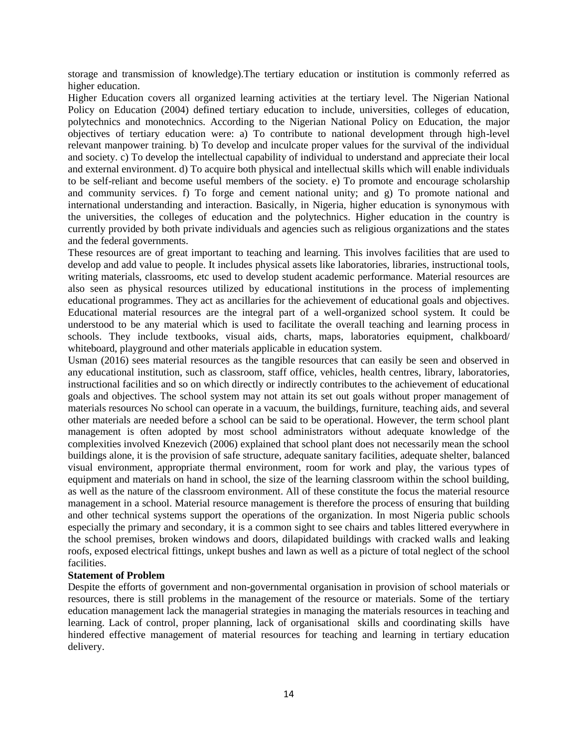storage and transmission of knowledge).The tertiary education or institution is commonly referred as higher education.

Higher Education covers all organized learning activities at the tertiary level. The Nigerian National Policy on Education (2004) defined tertiary education to include, universities, colleges of education, polytechnics and monotechnics. According to the Nigerian National Policy on Education, the major objectives of tertiary education were: a) To contribute to national development through high-level relevant manpower training. b) To develop and inculcate proper values for the survival of the individual and society. c) To develop the intellectual capability of individual to understand and appreciate their local and external environment. d) To acquire both physical and intellectual skills which will enable individuals to be self-reliant and become useful members of the society. e) To promote and encourage scholarship and community services. f) To forge and cement national unity; and g) To promote national and international understanding and interaction. Basically, in Nigeria, higher education is synonymous with the universities, the colleges of education and the polytechnics. Higher education in the country is currently provided by both private individuals and agencies such as religious organizations and the states and the federal governments.

These resources are of great important to teaching and learning. This involves facilities that are used to develop and add value to people. It includes physical assets like laboratories, libraries, instructional tools, writing materials, classrooms, etc used to develop student academic performance. Material resources are also seen as physical resources utilized by educational institutions in the process of implementing educational programmes. They act as ancillaries for the achievement of educational goals and objectives. Educational material resources are the integral part of a well-organized school system. It could be understood to be any material which is used to facilitate the overall teaching and learning process in schools. They include textbooks, visual aids, charts, maps, laboratories equipment, chalkboard/ whiteboard, playground and other materials applicable in education system.

Usman (2016) sees material resources as the tangible resources that can easily be seen and observed in any educational institution, such as classroom, staff office, vehicles, health centres, library, laboratories, instructional facilities and so on which directly or indirectly contributes to the achievement of educational goals and objectives. The school system may not attain its set out goals without proper management of materials resources No school can operate in a vacuum, the buildings, furniture, teaching aids, and several other materials are needed before a school can be said to be operational. However, the term school plant management is often adopted by most school administrators without adequate knowledge of the complexities involved Knezevich (2006) explained that school plant does not necessarily mean the school buildings alone, it is the provision of safe structure, adequate sanitary facilities, adequate shelter, balanced visual environment, appropriate thermal environment, room for work and play, the various types of equipment and materials on hand in school, the size of the learning classroom within the school building, as well as the nature of the classroom environment. All of these constitute the focus the material resource management in a school. Material resource management is therefore the process of ensuring that building and other technical systems support the operations of the organization. In most Nigeria public schools especially the primary and secondary, it is a common sight to see chairs and tables littered everywhere in the school premises, broken windows and doors, dilapidated buildings with cracked walls and leaking roofs, exposed electrical fittings, unkept bushes and lawn as well as a picture of total neglect of the school facilities.

### **Statement of Problem**

Despite the efforts of government and non-governmental organisation in provision of school materials or resources, there is still problems in the management of the resource or materials. Some of the tertiary education management lack the managerial strategies in managing the materials resources in teaching and learning. Lack of control, proper planning, lack of organisational skills and coordinating skills have hindered effective management of material resources for teaching and learning in tertiary education delivery.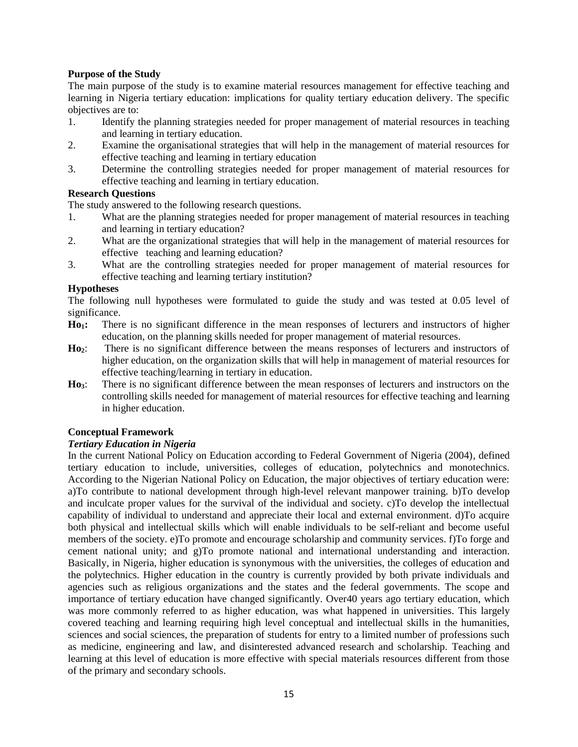# **Purpose of the Study**

The main purpose of the study is to examine material resources management for effective teaching and learning in Nigeria tertiary education: implications for quality tertiary education delivery. The specific objectives are to:

- 1. Identify the planning strategies needed for proper management of material resources in teaching and learning in tertiary education.
- 2. Examine the organisational strategies that will help in the management of material resources for effective teaching and learning in tertiary education
- 3. Determine the controlling strategies needed for proper management of material resources for effective teaching and learning in tertiary education.

# **Research Questions**

The study answered to the following research questions.

- 1. What are the planning strategies needed for proper management of material resources in teaching and learning in tertiary education?
- 2. What are the organizational strategies that will help in the management of material resources for effective teaching and learning education?
- 3. What are the controlling strategies needed for proper management of material resources for effective teaching and learning tertiary institution?

## **Hypotheses**

The following null hypotheses were formulated to guide the study and was tested at 0.05 level of significance.

- **Ho1:** There is no significant difference in the mean responses of lecturers and instructors of higher education, on the planning skills needed for proper management of material resources.
- **Ho2**: There is no significant difference between the means responses of lecturers and instructors of higher education, on the organization skills that will help in management of material resources for effective teaching/learning in tertiary in education.
- **Ho3**: There is no significant difference between the mean responses of lecturers and instructors on the controlling skills needed for management of material resources for effective teaching and learning in higher education.

# **Conceptual Framework**

### *Tertiary Education in Nigeria*

In the current National Policy on Education according to Federal Government of Nigeria (2004), defined tertiary education to include, universities, colleges of education, polytechnics and monotechnics. According to the Nigerian National Policy on Education, the major objectives of tertiary education were: a)To contribute to national development through high-level relevant manpower training. b)To develop and inculcate proper values for the survival of the individual and society. c)To develop the intellectual capability of individual to understand and appreciate their local and external environment. d)To acquire both physical and intellectual skills which will enable individuals to be self-reliant and become useful members of the society. e)To promote and encourage scholarship and community services. f)To forge and cement national unity; and g)To promote national and international understanding and interaction. Basically, in Nigeria, higher education is synonymous with the universities, the colleges of education and the polytechnics. Higher education in the country is currently provided by both private individuals and agencies such as religious organizations and the states and the federal governments. The scope and importance of tertiary education have changed significantly. Over40 years ago tertiary education, which was more commonly referred to as higher education, was what happened in universities. This largely covered teaching and learning requiring high level conceptual and intellectual skills in the humanities, sciences and social sciences, the preparation of students for entry to a limited number of professions such as medicine, engineering and law, and disinterested advanced research and scholarship. Teaching and learning at this level of education is more effective with special materials resources different from those of the primary and secondary schools.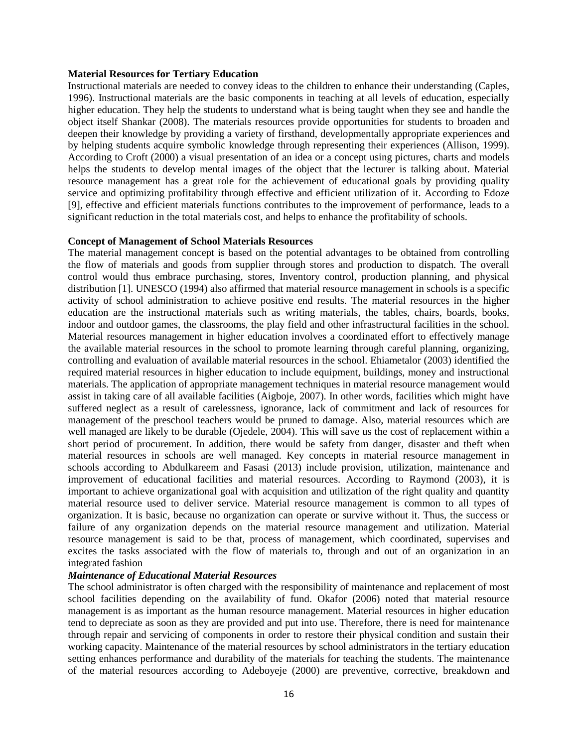#### **Material Resources for Tertiary Education**

Instructional materials are needed to convey ideas to the children to enhance their understanding (Caples, 1996). Instructional materials are the basic components in teaching at all levels of education, especially higher education. They help the students to understand what is being taught when they see and handle the object itself Shankar (2008). The materials resources provide opportunities for students to broaden and deepen their knowledge by providing a variety of firsthand, developmentally appropriate experiences and by helping students acquire symbolic knowledge through representing their experiences (Allison, 1999). According to Croft (2000) a visual presentation of an idea or a concept using pictures, charts and models helps the students to develop mental images of the object that the lecturer is talking about. Material resource management has a great role for the achievement of educational goals by providing quality service and optimizing profitability through effective and efficient utilization of it. According to Edoze [9], effective and efficient materials functions contributes to the improvement of performance, leads to a significant reduction in the total materials cost, and helps to enhance the profitability of schools.

#### **Concept of Management of School Materials Resources**

The material management concept is based on the potential advantages to be obtained from controlling the flow of materials and goods from supplier through stores and production to dispatch. The overall control would thus embrace purchasing, stores, Inventory control, production planning, and physical distribution [1]. UNESCO (1994) also affirmed that material resource management in schools is a specific activity of school administration to achieve positive end results. The material resources in the higher education are the instructional materials such as writing materials, the tables, chairs, boards, books, indoor and outdoor games, the classrooms, the play field and other infrastructural facilities in the school. Material resources management in higher education involves a coordinated effort to effectively manage the available material resources in the school to promote learning through careful planning, organizing, controlling and evaluation of available material resources in the school. Ehiametalor (2003) identified the required material resources in higher education to include equipment, buildings, money and instructional materials. The application of appropriate management techniques in material resource management would assist in taking care of all available facilities (Aigboje, 2007). In other words, facilities which might have suffered neglect as a result of carelessness, ignorance, lack of commitment and lack of resources for management of the preschool teachers would be pruned to damage. Also, material resources which are well managed are likely to be durable (Ojedele, 2004). This will save us the cost of replacement within a short period of procurement. In addition, there would be safety from danger, disaster and theft when material resources in schools are well managed. Key concepts in material resource management in schools according to Abdulkareem and Fasasi (2013) include provision, utilization, maintenance and improvement of educational facilities and material resources. According to Raymond (2003), it is important to achieve organizational goal with acquisition and utilization of the right quality and quantity material resource used to deliver service. Material resource management is common to all types of organization. It is basic, because no organization can operate or survive without it. Thus, the success or failure of any organization depends on the material resource management and utilization. Material resource management is said to be that, process of management, which coordinated, supervises and excites the tasks associated with the flow of materials to, through and out of an organization in an integrated fashion

## *Maintenance of Educational Material Resources*

The school administrator is often charged with the responsibility of maintenance and replacement of most school facilities depending on the availability of fund. Okafor (2006) noted that material resource management is as important as the human resource management. Material resources in higher education tend to depreciate as soon as they are provided and put into use. Therefore, there is need for maintenance through repair and servicing of components in order to restore their physical condition and sustain their working capacity. Maintenance of the material resources by school administrators in the tertiary education setting enhances performance and durability of the materials for teaching the students. The maintenance of the material resources according to Adeboyeje (2000) are preventive, corrective, breakdown and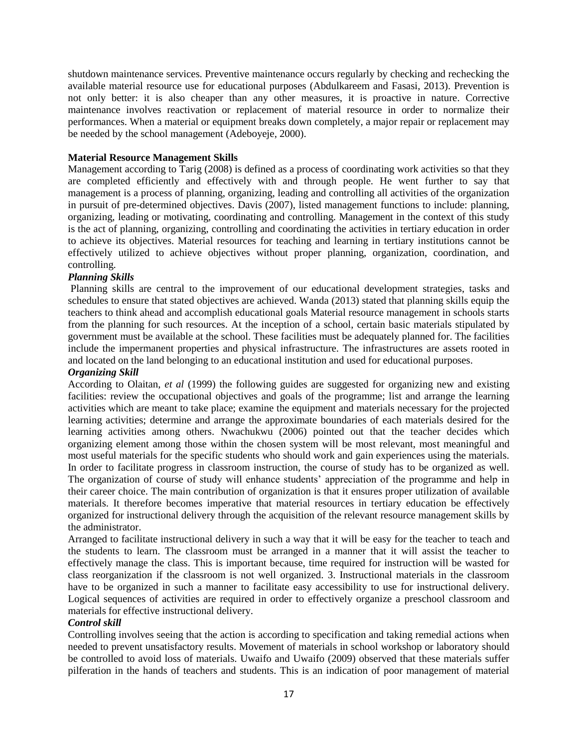shutdown maintenance services. Preventive maintenance occurs regularly by checking and rechecking the available material resource use for educational purposes (Abdulkareem and Fasasi, 2013). Prevention is not only better: it is also cheaper than any other measures, it is proactive in nature. Corrective maintenance involves reactivation or replacement of material resource in order to normalize their performances. When a material or equipment breaks down completely, a major repair or replacement may be needed by the school management (Adeboyeje, 2000).

# **Material Resource Management Skills**

Management according to Tarig (2008) is defined as a process of coordinating work activities so that they are completed efficiently and effectively with and through people. He went further to say that management is a process of planning, organizing, leading and controlling all activities of the organization in pursuit of pre-determined objectives. Davis (2007), listed management functions to include: planning, organizing, leading or motivating, coordinating and controlling. Management in the context of this study is the act of planning, organizing, controlling and coordinating the activities in tertiary education in order to achieve its objectives. Material resources for teaching and learning in tertiary institutions cannot be effectively utilized to achieve objectives without proper planning, organization, coordination, and controlling.

# *Planning Skills*

Planning skills are central to the improvement of our educational development strategies, tasks and schedules to ensure that stated objectives are achieved. Wanda (2013) stated that planning skills equip the teachers to think ahead and accomplish educational goals Material resource management in schools starts from the planning for such resources. At the inception of a school, certain basic materials stipulated by government must be available at the school. These facilities must be adequately planned for. The facilities include the impermanent properties and physical infrastructure. The infrastructures are assets rooted in and located on the land belonging to an educational institution and used for educational purposes.

## *Organizing Skill*

According to Olaitan, *et al* (1999) the following guides are suggested for organizing new and existing facilities: review the occupational objectives and goals of the programme; list and arrange the learning activities which are meant to take place; examine the equipment and materials necessary for the projected learning activities; determine and arrange the approximate boundaries of each materials desired for the learning activities among others. Nwachukwu (2006) pointed out that the teacher decides which organizing element among those within the chosen system will be most relevant, most meaningful and most useful materials for the specific students who should work and gain experiences using the materials. In order to facilitate progress in classroom instruction, the course of study has to be organized as well. The organization of course of study will enhance students' appreciation of the programme and help in their career choice. The main contribution of organization is that it ensures proper utilization of available materials. It therefore becomes imperative that material resources in tertiary education be effectively organized for instructional delivery through the acquisition of the relevant resource management skills by the administrator.

Arranged to facilitate instructional delivery in such a way that it will be easy for the teacher to teach and the students to learn. The classroom must be arranged in a manner that it will assist the teacher to effectively manage the class. This is important because, time required for instruction will be wasted for class reorganization if the classroom is not well organized. 3. Instructional materials in the classroom have to be organized in such a manner to facilitate easy accessibility to use for instructional delivery. Logical sequences of activities are required in order to effectively organize a preschool classroom and materials for effective instructional delivery.

# *Control skill*

Controlling involves seeing that the action is according to specification and taking remedial actions when needed to prevent unsatisfactory results. Movement of materials in school workshop or laboratory should be controlled to avoid loss of materials. Uwaifo and Uwaifo (2009) observed that these materials suffer pilferation in the hands of teachers and students. This is an indication of poor management of material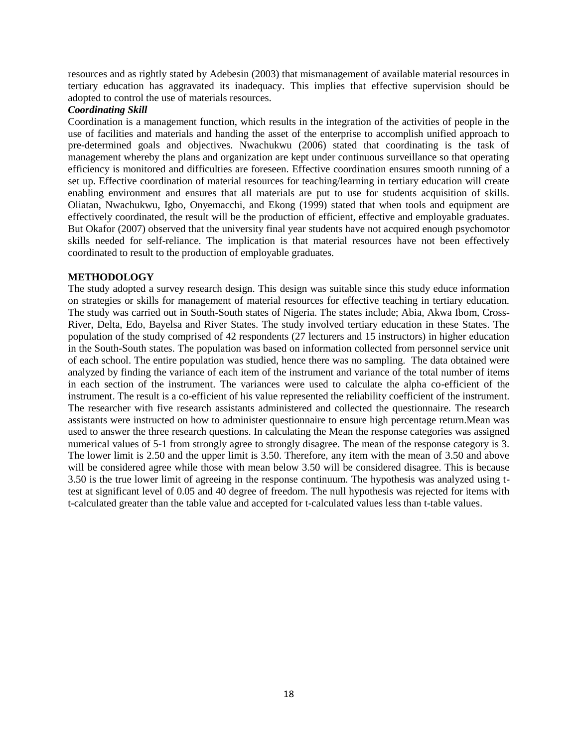resources and as rightly stated by Adebesin (2003) that mismanagement of available material resources in tertiary education has aggravated its inadequacy. This implies that effective supervision should be adopted to control the use of materials resources.

# *Coordinating Skill*

Coordination is a management function, which results in the integration of the activities of people in the use of facilities and materials and handing the asset of the enterprise to accomplish unified approach to pre-determined goals and objectives. Nwachukwu (2006) stated that coordinating is the task of management whereby the plans and organization are kept under continuous surveillance so that operating efficiency is monitored and difficulties are foreseen. Effective coordination ensures smooth running of a set up. Effective coordination of material resources for teaching/learning in tertiary education will create enabling environment and ensures that all materials are put to use for students acquisition of skills. Oliatan, Nwachukwu, Igbo, Onyemacchi, and Ekong (1999) stated that when tools and equipment are effectively coordinated, the result will be the production of efficient, effective and employable graduates. But Okafor (2007) observed that the university final year students have not acquired enough psychomotor skills needed for self-reliance. The implication is that material resources have not been effectively coordinated to result to the production of employable graduates.

# **METHODOLOGY**

The study adopted a survey research design. This design was suitable since this study educe information on strategies or skills for management of material resources for effective teaching in tertiary education. The study was carried out in South-South states of Nigeria. The states include; Abia, Akwa Ibom, Cross-River, Delta, Edo, Bayelsa and River States. The study involved tertiary education in these States. The population of the study comprised of 42 respondents (27 lecturers and 15 instructors) in higher education in the South-South states. The population was based on information collected from personnel service unit of each school. The entire population was studied, hence there was no sampling. The data obtained were analyzed by finding the variance of each item of the instrument and variance of the total number of items in each section of the instrument. The variances were used to calculate the alpha co-efficient of the instrument. The result is a co-efficient of his value represented the reliability coefficient of the instrument. The researcher with five research assistants administered and collected the questionnaire. The research assistants were instructed on how to administer questionnaire to ensure high percentage return.Mean was used to answer the three research questions. In calculating the Mean the response categories was assigned numerical values of 5-1 from strongly agree to strongly disagree. The mean of the response category is 3. The lower limit is 2.50 and the upper limit is 3.50. Therefore, any item with the mean of 3.50 and above will be considered agree while those with mean below 3.50 will be considered disagree. This is because 3.50 is the true lower limit of agreeing in the response continuum. The hypothesis was analyzed using ttest at significant level of 0.05 and 40 degree of freedom. The null hypothesis was rejected for items with t-calculated greater than the table value and accepted for t-calculated values less than t-table values.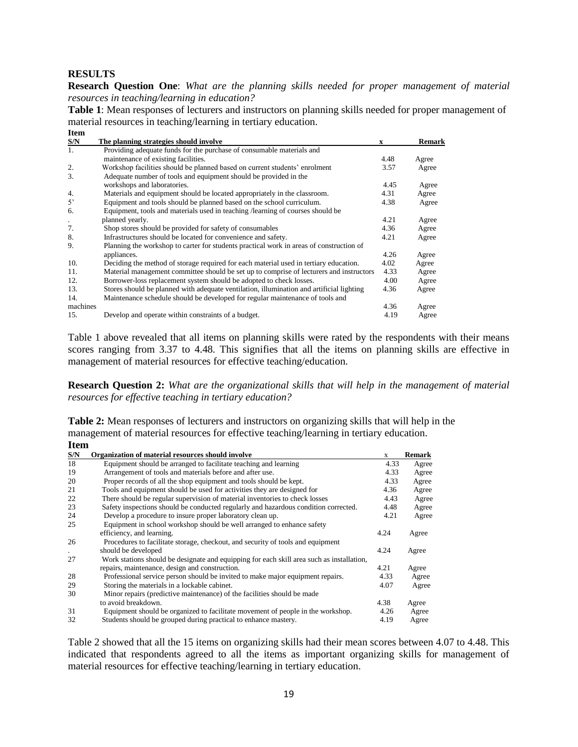## **RESULTS**

**Item** 

**Research Question One**: *What are the planning skills needed for proper management of material resources in teaching/learning in education?*

**Table 1**: Mean responses of lecturers and instructors on planning skills needed for proper management of material resources in teaching/learning in tertiary education.

| S/N              | The planning strategies should involve                                                   | X    | <b>Remark</b> |
|------------------|------------------------------------------------------------------------------------------|------|---------------|
| $\mathbf{1}$ .   | Providing adequate funds for the purchase of consumable materials and                    |      |               |
|                  | maintenance of existing facilities.                                                      | 4.48 | Agree         |
| 2.               | Workshop facilities should be planned based on current students' enrolment               | 3.57 | Agree         |
| 3.               | Adequate number of tools and equipment should be provided in the                         |      |               |
|                  | workshops and laboratories.                                                              | 4.45 | Agree         |
| $\overline{4}$ . | Materials and equipment should be located appropriately in the classroom.                | 4.31 | Agree         |
| 5'               | Equipment and tools should be planned based on the school curriculum.                    | 4.38 | Agree         |
| 6.               | Equipment, tools and materials used in teaching / learning of courses should be          |      |               |
| $\bullet$        | planned yearly.                                                                          | 4.21 | Agree         |
| 7.               | Shop stores should be provided for safety of consumables                                 | 4.36 | Agree         |
| 8.               | Infrastructures should be located for convenience and safety.                            | 4.21 | Agree         |
| 9.               | Planning the workshop to carter for students practical work in areas of construction of  |      |               |
|                  | appliances.                                                                              | 4.26 | Agree         |
| 10.              | Deciding the method of storage required for each material used in tertiary education.    | 4.02 | Agree         |
| 11.              | Material management committee should be set up to comprise of lecturers and instructors  | 4.33 | Agree         |
| 12.              | Borrower-loss replacement system should be adopted to check losses.                      | 4.00 | Agree         |
| 13.              | Stores should be planned with adequate ventilation, illumination and artificial lighting | 4.36 | Agree         |
| 14.              | Maintenance schedule should be developed for regular maintenance of tools and            |      |               |
| machines         |                                                                                          | 4.36 | Agree         |
| 15.              | Develop and operate within constraints of a budget.                                      | 4.19 | Agree         |
|                  |                                                                                          |      |               |

Table 1 above revealed that all items on planning skills were rated by the respondents with their means scores ranging from 3.37 to 4.48. This signifies that all the items on planning skills are effective in management of material resources for effective teaching/education.

**Research Question 2:** *What are the organizational skills that will help in the management of material resources for effective teaching in tertiary education?*

**Table 2:** Mean responses of lecturers and instructors on organizing skills that will help in the management of material resources for effective teaching/learning in tertiary education. **Item** 

| псп |                                                                                           |      |               |
|-----|-------------------------------------------------------------------------------------------|------|---------------|
| S/N | Organization of material resources should involve                                         | X    | <b>Remark</b> |
| 18  | Equipment should be arranged to facilitate teaching and learning                          | 4.33 | Agree         |
| 19  | Arrangement of tools and materials before and after use.                                  | 4.33 | Agree         |
| 20  | Proper records of all the shop equipment and tools should be kept.                        | 4.33 | Agree         |
| 21  | Tools and equipment should be used for activities they are designed for                   | 4.36 | Agree         |
| 22  | There should be regular supervision of material inventories to check losses               | 4.43 | Agree         |
| 23  | Safety inspections should be conducted regularly and hazardous condition corrected.       | 4.48 | Agree         |
| 24  | Develop a procedure to insure proper laboratory clean up.                                 | 4.21 | Agree         |
| 25  | Equipment in school workshop should be well arranged to enhance safety                    |      |               |
|     | efficiency, and learning.                                                                 | 4.24 | Agree         |
| 26  | Procedures to facilitate storage, checkout, and security of tools and equipment           |      |               |
|     | should be developed                                                                       | 4.24 | Agree         |
| 27  | Work stations should be designate and equipping for each skill area such as installation, |      |               |
|     | repairs, maintenance, design and construction.                                            | 4.21 | Agree         |
| 28  | Professional service person should be invited to make major equipment repairs.            | 4.33 | Agree         |
| 29  | Storing the materials in a lockable cabinet.                                              | 4.07 | Agree         |
| 30  | Minor repairs (predictive maintenance) of the facilities should be made                   |      |               |
|     | to avoid breakdown.                                                                       | 4.38 | Agree         |
| 31  | Equipment should be organized to facilitate movement of people in the workshop.           | 4.26 | Agree         |
| 32  | Students should be grouped during practical to enhance mastery.                           | 4.19 | Agree         |

Table 2 showed that all the 15 items on organizing skills had their mean scores between 4.07 to 4.48. This indicated that respondents agreed to all the items as important organizing skills for management of material resources for effective teaching/learning in tertiary education.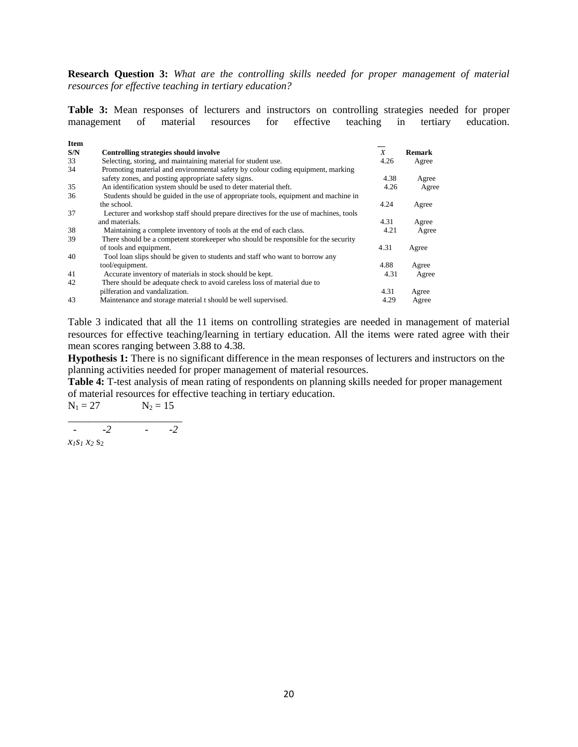**Research Question 3:** *What are the controlling skills needed for proper management of material resources for effective teaching in tertiary education?*

**Table 3:** Mean responses of lecturers and instructors on controlling strategies needed for proper management of material resources for effective teaching in tertiary education.

| <b>Item</b> |                                                                                      |      |        |
|-------------|--------------------------------------------------------------------------------------|------|--------|
| S/N         | Controlling strategies should involve                                                | X    | Remark |
| 33          | Selecting, storing, and maintaining material for student use.                        | 4.26 | Agree  |
| 34          | Promoting material and environmental safety by colour coding equipment, marking      |      |        |
|             | safety zones, and posting appropriate safety signs.                                  | 4.38 | Agree  |
| 35          | An identification system should be used to deter material theft.                     | 4.26 | Agree  |
| 36          | Students should be guided in the use of appropriate tools, equipment and machine in  |      |        |
|             | the school.                                                                          | 4.24 | Agree  |
| 37          | Lecturer and workshop staff should prepare directives for the use of machines, tools |      |        |
|             | and materials.                                                                       | 4.31 | Agree  |
| 38          | Maintaining a complete inventory of tools at the end of each class.                  | 4.21 | Agree  |
| 39          | There should be a competent store keeper who should be responsible for the security  |      |        |
|             | of tools and equipment.                                                              | 4.31 | Agree  |
| 40          | Tool loan slips should be given to students and staff who want to borrow any         |      |        |
|             | tool/equipment.                                                                      | 4.88 | Agree  |
| 41          | Accurate inventory of materials in stock should be kept.                             | 4.31 | Agree  |
| 42          | There should be adequate check to avoid careless loss of material due to             |      |        |
|             | pilferation and vandalization.                                                       | 4.31 | Agree  |
| 43          | Maintenance and storage material t should be well supervised.                        | 4.29 | Agree  |

Table 3 indicated that all the 11 items on controlling strategies are needed in management of material resources for effective teaching/learning in tertiary education. All the items were rated agree with their mean scores ranging between 3.88 to 4.38.

**Hypothesis 1:** There is no significant difference in the mean responses of lecturers and instructors on the planning activities needed for proper management of material resources.

**Table 4:** T-test analysis of mean rating of respondents on planning skills needed for proper management of material resources for effective teaching in tertiary education.

 $N_1 = 27$   $N_2 = 15$ 

*\_\_\_\_\_\_\_\_\_\_\_\_\_\_\_\_\_\_\_\_\_\_ - -2 - -2*

 $x_1s_1 x_2 s_2$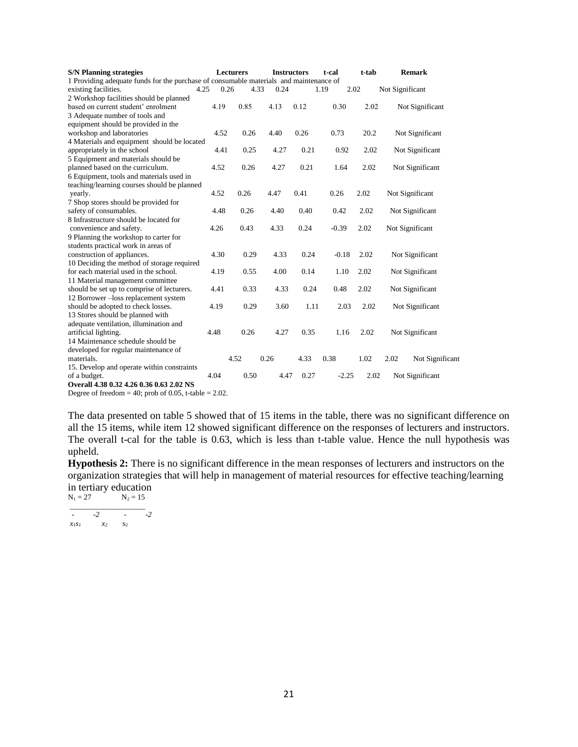| <b>S/N Planning strategies</b>                                                         |      | <b>Lecturers</b> | <b>Instructors</b> |      | t-cal   | t-tab | <b>Remark</b>           |
|----------------------------------------------------------------------------------------|------|------------------|--------------------|------|---------|-------|-------------------------|
| 1 Providing adequate funds for the purchase of consumable materials and maintenance of |      |                  |                    |      |         |       |                         |
| existing facilities.<br>4.25                                                           | 0.26 | 4.33             | 0.24               |      | 1.19    | 2.02  | Not Significant         |
| 2 Workshop facilities should be planned                                                |      |                  |                    |      |         |       |                         |
| based on current student' enrolment                                                    | 4.19 | 0.85             | 4.13               | 0.12 | 0.30    | 2.02  | Not Significant         |
| 3 Adequate number of tools and                                                         |      |                  |                    |      |         |       |                         |
| equipment should be provided in the                                                    |      |                  |                    |      |         |       |                         |
| workshop and laboratories                                                              | 4.52 | 0.26             | 4.40               | 0.26 | 0.73    | 20.2  | Not Significant         |
| 4 Materials and equipment should be located                                            |      |                  |                    |      |         |       |                         |
| appropriately in the school                                                            | 4.41 | 0.25             | 4.27               | 0.21 | 0.92    | 2.02  | Not Significant         |
| 5 Equipment and materials should be                                                    |      |                  |                    |      |         |       |                         |
| planned based on the curriculum.                                                       | 4.52 | 0.26             | 4.27               | 0.21 | 1.64    | 2.02  | Not Significant         |
| 6 Equipment, tools and materials used in                                               |      |                  |                    |      |         |       |                         |
| teaching/learning courses should be planned                                            |      |                  |                    |      |         |       |                         |
| yearly.                                                                                | 4.52 | 0.26             | 4.47               | 0.41 | 0.26    | 2.02  | Not Significant         |
| 7 Shop stores should be provided for                                                   |      |                  |                    |      |         |       |                         |
| safety of consumables.                                                                 | 4.48 | 0.26             | 4.40               | 0.40 | 0.42    | 2.02  | Not Significant         |
| 8 Infrastructure should be located for                                                 |      |                  |                    |      |         |       |                         |
| convenience and safety.                                                                | 4.26 | 0.43             | 4.33               | 0.24 | $-0.39$ | 2.02  | Not Significant         |
| 9 Planning the workshop to carter for                                                  |      |                  |                    |      |         |       |                         |
| students practical work in areas of                                                    |      |                  |                    |      |         |       |                         |
| construction of appliances.                                                            | 4.30 | 0.29             | 4.33               | 0.24 | $-0.18$ | 2.02  | Not Significant         |
| 10 Deciding the method of storage required                                             |      |                  |                    |      |         |       |                         |
| for each material used in the school.                                                  | 4.19 | 0.55             | 4.00               | 0.14 | 1.10    | 2.02  | Not Significant         |
| 11 Material management committee                                                       |      |                  |                    |      |         |       |                         |
| should be set up to comprise of lecturers.                                             | 4.41 | 0.33             | 4.33               | 0.24 | 0.48    | 2.02  | Not Significant         |
| 12 Borrower-loss replacement system                                                    |      |                  |                    |      |         |       |                         |
| should be adopted to check losses.                                                     | 4.19 | 0.29             | 3.60               | 1.11 | 2.03    | 2.02  | Not Significant         |
| 13 Stores should be planned with                                                       |      |                  |                    |      |         |       |                         |
| adequate ventilation, illumination and                                                 |      |                  |                    |      |         |       |                         |
| artificial lighting.                                                                   | 4.48 | 0.26             | 4.27               | 0.35 | 1.16    | 2.02  | Not Significant         |
| 14 Maintenance schedule should be                                                      |      |                  |                    |      |         |       |                         |
| developed for regular maintenance of                                                   |      |                  |                    |      |         |       |                         |
| materials.                                                                             |      | 4.52             | 0.26               | 4.33 | 0.38    | 1.02  | 2.02<br>Not Significant |
| 15. Develop and operate within constraints                                             |      |                  |                    |      |         |       |                         |
| of a budget.                                                                           | 4.04 | 0.50             | 4.47               | 0.27 | $-2.25$ | 2.02  | Not Significant         |
| Overall 4.38 0.32 4.26 0.36 0.63 2.02 NS                                               |      |                  |                    |      |         |       |                         |
| Decree of freedom $=40$ ; nucle of 0.05 $\pm$ toble $=2.02$                            |      |                  |                    |      |         |       |                         |

Degree of freedom  $= 40$ ; prob of 0.05, t-table  $= 2.02$ .

The data presented on table 5 showed that of 15 items in the table, there was no significant difference on all the 15 items, while item 12 showed significant difference on the responses of lecturers and instructors. The overall t-cal for the table is 0.63, which is less than t-table value. Hence the null hypothesis was upheld.

**Hypothesis 2:** There is no significant difference in the mean responses of lecturers and instructors on the organization strategies that will help in management of material resources for effective teaching/learning in tertiary education<br> $N_1 = 27$ <br> $N_2 = 15$  $N_1 = 27$ 

*\_\_\_\_\_\_\_\_\_\_\_\_\_\_\_\_\_\_\_\_*   $\frac{1}{x_1 s_1}$  -2 - -2<br> $\frac{x_2 s_2}{}$  -2  $x_1s_1$   $x_2$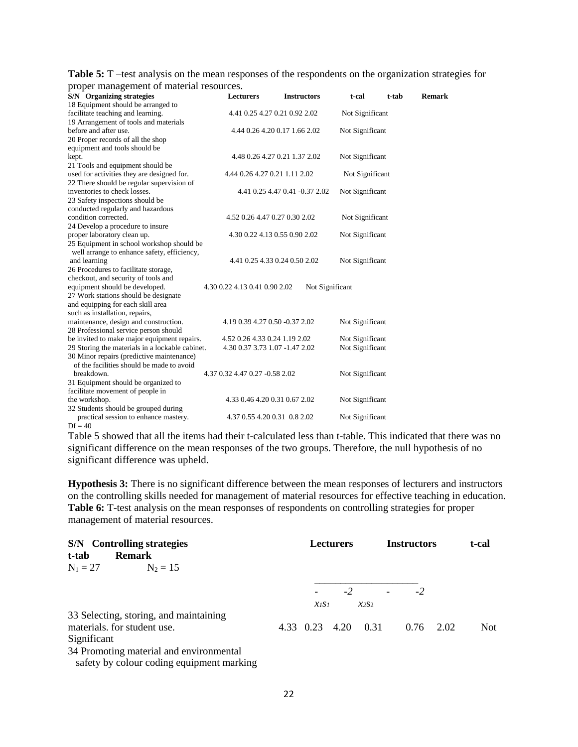| <b>Table 5:</b> T –test analysis on the mean responses of the respondents on the organization strategies for |  |  |
|--------------------------------------------------------------------------------------------------------------|--|--|
| proper management of material resources.                                                                     |  |  |

| proper management or material resources.        |                                |                                |                 |       |               |
|-------------------------------------------------|--------------------------------|--------------------------------|-----------------|-------|---------------|
| S/N Organizing strategies                       | <b>Lecturers</b>               | <b>Instructors</b>             | t-cal           | t-tab | <b>Remark</b> |
| 18 Equipment should be arranged to              |                                |                                |                 |       |               |
| facilitate teaching and learning.               | 4.41 0.25 4.27 0.21 0.92 2.02  |                                | Not Significant |       |               |
| 19 Arrangement of tools and materials           |                                |                                |                 |       |               |
| before and after use.                           |                                | 4.44 0.26 4.20 0.17 1.66 2.02  | Not Significant |       |               |
| 20 Proper records of all the shop               |                                |                                |                 |       |               |
| equipment and tools should be                   |                                |                                |                 |       |               |
| kept.                                           |                                | 4.48 0.26 4.27 0.21 1.37 2.02  | Not Significant |       |               |
| 21 Tools and equipment should be                |                                |                                |                 |       |               |
| used for activities they are designed for.      | 4.44 0.26 4.27 0.21 1.11 2.02  |                                | Not Significant |       |               |
| 22 There should be regular supervision of       |                                |                                |                 |       |               |
| inventories to check losses.                    |                                | 4.41 0.25 4.47 0.41 -0.37 2.02 | Not Significant |       |               |
| 23 Safety inspections should be                 |                                |                                |                 |       |               |
| conducted regularly and hazardous               |                                |                                |                 |       |               |
| condition corrected.                            | 4.52 0.26 4.47 0.27 0.30 2.02  |                                | Not Significant |       |               |
| 24 Develop a procedure to insure                |                                |                                |                 |       |               |
| proper laboratory clean up.                     | 4.30 0.22 4.13 0.55 0.90 2.02  |                                | Not Significant |       |               |
| 25 Equipment in school workshop should be       |                                |                                |                 |       |               |
| well arrange to enhance safety, efficiency,     |                                |                                |                 |       |               |
| and learning                                    | 4.41 0.25 4.33 0.24 0.50 2.02  |                                | Not Significant |       |               |
| 26 Procedures to facilitate storage,            |                                |                                |                 |       |               |
| checkout, and security of tools and             |                                |                                |                 |       |               |
| equipment should be developed.                  | 4.30 0.22 4.13 0.41 0.90 2.02  | Not Significant                |                 |       |               |
| 27 Work stations should be designate            |                                |                                |                 |       |               |
| and equipping for each skill area               |                                |                                |                 |       |               |
| such as installation, repairs,                  |                                |                                |                 |       |               |
| maintenance, design and construction.           | 4.19 0.39 4.27 0.50 -0.37 2.02 |                                | Not Significant |       |               |
| 28 Professional service person should           |                                |                                |                 |       |               |
| be invited to make major equipment repairs.     | 4.52 0.26 4.33 0.24 1.19 2.02  |                                | Not Significant |       |               |
| 29 Storing the materials in a lockable cabinet. | 4.30 0.37 3.73 1.07 -1.47 2.02 |                                | Not Significant |       |               |
| 30 Minor repairs (predictive maintenance)       |                                |                                |                 |       |               |
| of the facilities should be made to avoid       |                                |                                |                 |       |               |
| breakdown.                                      | 4.37 0.32 4.47 0.27 -0.58 2.02 |                                | Not Significant |       |               |
| 31 Equipment should be organized to             |                                |                                |                 |       |               |
| facilitate movement of people in                |                                |                                |                 |       |               |
| the workshop.                                   | 4.33 0.46 4.20 0.31 0.67 2.02  |                                | Not Significant |       |               |
| 32 Students should be grouped during            |                                |                                |                 |       |               |
| practical session to enhance mastery.           | 4.37 0.55 4.20 0.31 0.8 2.02   |                                | Not Significant |       |               |
| $Df = 40$                                       |                                |                                |                 |       |               |

Table 5 showed that all the items had their t-calculated less than t-table. This indicated that there was no significant difference on the mean responses of the two groups. Therefore, the null hypothesis of no significant difference was upheld.

**Hypothesis 3:** There is no significant difference between the mean responses of lecturers and instructors on the controlling skills needed for management of material resources for effective teaching in education. **Table 6:** T-test analysis on the mean responses of respondents on controlling strategies for proper management of material resources.

| S/N Controlling strategies<br><b>Remark</b><br>t-tab                                 |                                    | <b>Lecturers</b> |                          | <b>Instructors</b> |      | t-cal |
|--------------------------------------------------------------------------------------|------------------------------------|------------------|--------------------------|--------------------|------|-------|
| $N_1 = 27$<br>$N_2 = 15$                                                             |                                    |                  |                          |                    |      |       |
|                                                                                      |                                    | $-2$             | $\overline{\phantom{a}}$ | -2                 |      |       |
|                                                                                      | $\chi$ <sub>1</sub> S <sub>1</sub> |                  | $x_2s_2$                 |                    |      |       |
| 33 Selecting, storing, and maintaining                                               |                                    |                  |                          |                    |      |       |
| materials. for student use.                                                          | 4.33 0.23                          | 4.20             | 0.31                     | 0.76               | 2.02 | Not   |
| Significant                                                                          |                                    |                  |                          |                    |      |       |
| 34 Promoting material and environmental<br>safety by colour coding equipment marking |                                    |                  |                          |                    |      |       |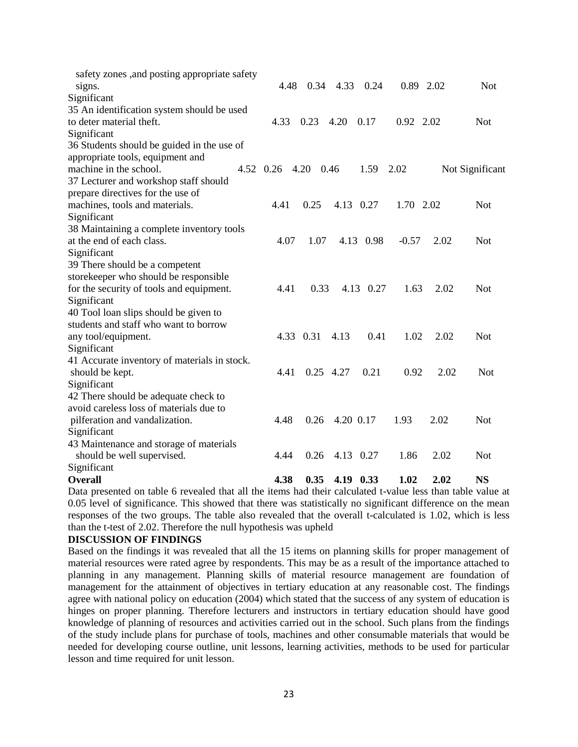| safety zones , and posting appropriate safety |           |           |           |           |           |      |                 |
|-----------------------------------------------|-----------|-----------|-----------|-----------|-----------|------|-----------------|
| signs.                                        | 4.48      | 0.34      | 4.33      | 0.24      | 0.89 2.02 |      | <b>Not</b>      |
| Significant                                   |           |           |           |           |           |      |                 |
| 35 An identification system should be used    |           |           |           |           |           |      |                 |
| to deter material theft.                      | 4.33      | 0.23      | 4.20      | 0.17      | 0.92 2.02 |      | <b>Not</b>      |
| Significant                                   |           |           |           |           |           |      |                 |
| 36 Students should be guided in the use of    |           |           |           |           |           |      |                 |
| appropriate tools, equipment and              |           |           |           |           |           |      |                 |
| machine in the school.                        | 4.52 0.26 | 4.20      | 0.46      | 1.59      | 2.02      |      | Not Significant |
| 37 Lecturer and workshop staff should         |           |           |           |           |           |      |                 |
| prepare directives for the use of             |           |           |           |           |           |      |                 |
| machines, tools and materials.                | 4.41      | 0.25      |           | 4.13 0.27 | 1.70 2.02 |      | <b>Not</b>      |
| Significant                                   |           |           |           |           |           |      |                 |
| 38 Maintaining a complete inventory tools     |           |           |           |           |           |      |                 |
| at the end of each class.                     | 4.07      | 1.07      |           | 4.13 0.98 | $-0.57$   | 2.02 | <b>Not</b>      |
| Significant                                   |           |           |           |           |           |      |                 |
| 39 There should be a competent                |           |           |           |           |           |      |                 |
| storekeeper who should be responsible         |           |           |           |           |           |      |                 |
| for the security of tools and equipment.      | 4.41      | 0.33      |           | 4.13 0.27 | 1.63      | 2.02 | <b>Not</b>      |
| Significant                                   |           |           |           |           |           |      |                 |
| 40 Tool loan slips should be given to         |           |           |           |           |           |      |                 |
| students and staff who want to borrow         |           |           |           |           |           |      |                 |
| any tool/equipment.                           |           | 4.33 0.31 | 4.13      | 0.41      | 1.02      | 2.02 | <b>Not</b>      |
| Significant                                   |           |           |           |           |           |      |                 |
| 41 Accurate inventory of materials in stock.  |           |           |           |           |           |      |                 |
| should be kept.                               | 4.41      |           | 0.25 4.27 | 0.21      | 0.92      | 2.02 | <b>Not</b>      |
| Significant                                   |           |           |           |           |           |      |                 |
| 42 There should be adequate check to          |           |           |           |           |           |      |                 |
| avoid careless loss of materials due to       |           |           |           |           |           |      |                 |
| pilferation and vandalization.                | 4.48      | 0.26      |           | 4.20 0.17 | 1.93      | 2.02 | <b>Not</b>      |
| Significant                                   |           |           |           |           |           |      |                 |
| 43 Maintenance and storage of materials       |           |           |           |           |           |      |                 |
| should be well supervised.                    | 4.44      | 0.26      |           | 4.13 0.27 | 1.86      | 2.02 | <b>Not</b>      |
| Significant                                   |           |           |           |           |           |      |                 |
| <b>Overall</b>                                | 4.38      | 0.35      |           | 4.19 0.33 | 1.02      | 2.02 | <b>NS</b>       |

Data presented on table 6 revealed that all the items had their calculated t-value less than table value at 0.05 level of significance. This showed that there was statistically no significant difference on the mean responses of the two groups. The table also revealed that the overall t-calculated is 1.02, which is less than the t-test of 2.02. Therefore the null hypothesis was upheld

### **DISCUSSION OF FINDINGS**

Based on the findings it was revealed that all the 15 items on planning skills for proper management of material resources were rated agree by respondents. This may be as a result of the importance attached to planning in any management. Planning skills of material resource management are foundation of management for the attainment of objectives in tertiary education at any reasonable cost. The findings agree with national policy on education (2004) which stated that the success of any system of education is hinges on proper planning. Therefore lecturers and instructors in tertiary education should have good knowledge of planning of resources and activities carried out in the school. Such plans from the findings of the study include plans for purchase of tools, machines and other consumable materials that would be needed for developing course outline, unit lessons, learning activities, methods to be used for particular lesson and time required for unit lesson.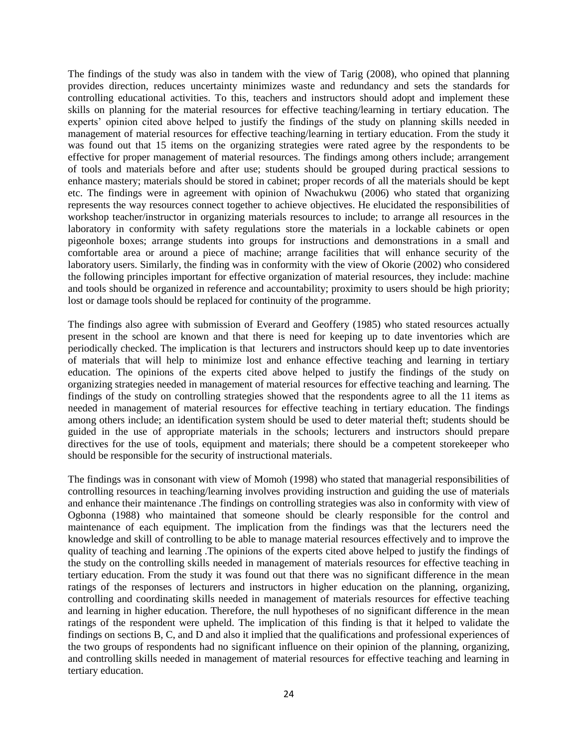The findings of the study was also in tandem with the view of Tarig (2008), who opined that planning provides direction, reduces uncertainty minimizes waste and redundancy and sets the standards for controlling educational activities. To this, teachers and instructors should adopt and implement these skills on planning for the material resources for effective teaching/learning in tertiary education. The experts' opinion cited above helped to justify the findings of the study on planning skills needed in management of material resources for effective teaching/learning in tertiary education. From the study it was found out that 15 items on the organizing strategies were rated agree by the respondents to be effective for proper management of material resources. The findings among others include; arrangement of tools and materials before and after use; students should be grouped during practical sessions to enhance mastery; materials should be stored in cabinet; proper records of all the materials should be kept etc. The findings were in agreement with opinion of Nwachukwu (2006) who stated that organizing represents the way resources connect together to achieve objectives. He elucidated the responsibilities of workshop teacher/instructor in organizing materials resources to include; to arrange all resources in the laboratory in conformity with safety regulations store the materials in a lockable cabinets or open pigeonhole boxes; arrange students into groups for instructions and demonstrations in a small and comfortable area or around a piece of machine; arrange facilities that will enhance security of the laboratory users. Similarly, the finding was in conformity with the view of Okorie (2002) who considered the following principles important for effective organization of material resources, they include: machine and tools should be organized in reference and accountability; proximity to users should be high priority; lost or damage tools should be replaced for continuity of the programme.

The findings also agree with submission of Everard and Geoffery (1985) who stated resources actually present in the school are known and that there is need for keeping up to date inventories which are periodically checked. The implication is that lecturers and instructors should keep up to date inventories of materials that will help to minimize lost and enhance effective teaching and learning in tertiary education. The opinions of the experts cited above helped to justify the findings of the study on organizing strategies needed in management of material resources for effective teaching and learning. The findings of the study on controlling strategies showed that the respondents agree to all the 11 items as needed in management of material resources for effective teaching in tertiary education. The findings among others include; an identification system should be used to deter material theft; students should be guided in the use of appropriate materials in the schools; lecturers and instructors should prepare directives for the use of tools, equipment and materials; there should be a competent storekeeper who should be responsible for the security of instructional materials.

The findings was in consonant with view of Momoh (1998) who stated that managerial responsibilities of controlling resources in teaching/learning involves providing instruction and guiding the use of materials and enhance their maintenance .The findings on controlling strategies was also in conformity with view of Ogbonna (1988) who maintained that someone should be clearly responsible for the control and maintenance of each equipment. The implication from the findings was that the lecturers need the knowledge and skill of controlling to be able to manage material resources effectively and to improve the quality of teaching and learning .The opinions of the experts cited above helped to justify the findings of the study on the controlling skills needed in management of materials resources for effective teaching in tertiary education. From the study it was found out that there was no significant difference in the mean ratings of the responses of lecturers and instructors in higher education on the planning, organizing, controlling and coordinating skills needed in management of materials resources for effective teaching and learning in higher education. Therefore, the null hypotheses of no significant difference in the mean ratings of the respondent were upheld. The implication of this finding is that it helped to validate the findings on sections B, C, and D and also it implied that the qualifications and professional experiences of the two groups of respondents had no significant influence on their opinion of the planning, organizing, and controlling skills needed in management of material resources for effective teaching and learning in tertiary education.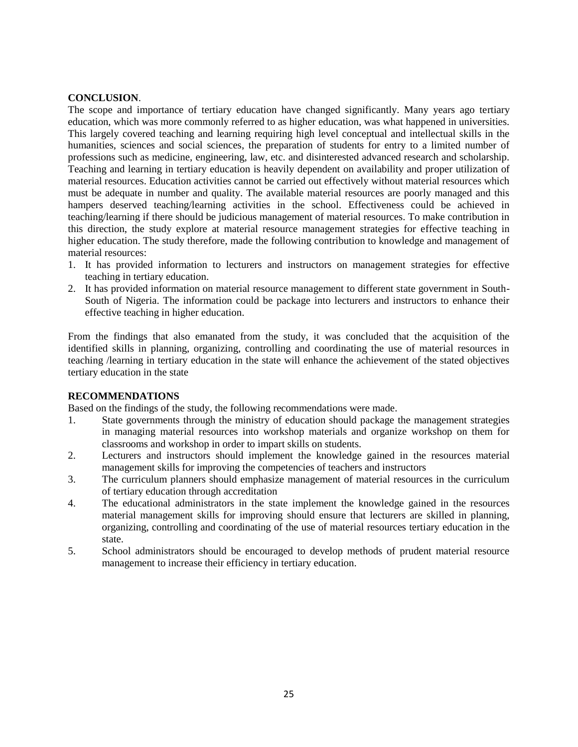## **CONCLUSION**.

The scope and importance of tertiary education have changed significantly. Many years ago tertiary education, which was more commonly referred to as higher education, was what happened in universities. This largely covered teaching and learning requiring high level conceptual and intellectual skills in the humanities, sciences and social sciences, the preparation of students for entry to a limited number of professions such as medicine, engineering, law, etc. and disinterested advanced research and scholarship. Teaching and learning in tertiary education is heavily dependent on availability and proper utilization of material resources. Education activities cannot be carried out effectively without material resources which must be adequate in number and quality. The available material resources are poorly managed and this hampers deserved teaching/learning activities in the school. Effectiveness could be achieved in teaching/learning if there should be judicious management of material resources. To make contribution in this direction, the study explore at material resource management strategies for effective teaching in higher education. The study therefore, made the following contribution to knowledge and management of material resources:

- 1. It has provided information to lecturers and instructors on management strategies for effective teaching in tertiary education.
- 2. It has provided information on material resource management to different state government in South-South of Nigeria. The information could be package into lecturers and instructors to enhance their effective teaching in higher education.

From the findings that also emanated from the study, it was concluded that the acquisition of the identified skills in planning, organizing, controlling and coordinating the use of material resources in teaching /learning in tertiary education in the state will enhance the achievement of the stated objectives tertiary education in the state

## **RECOMMENDATIONS**

Based on the findings of the study, the following recommendations were made.

- 1. State governments through the ministry of education should package the management strategies in managing material resources into workshop materials and organize workshop on them for classrooms and workshop in order to impart skills on students.
- 2. Lecturers and instructors should implement the knowledge gained in the resources material management skills for improving the competencies of teachers and instructors
- 3. The curriculum planners should emphasize management of material resources in the curriculum of tertiary education through accreditation
- 4. The educational administrators in the state implement the knowledge gained in the resources material management skills for improving should ensure that lecturers are skilled in planning, organizing, controlling and coordinating of the use of material resources tertiary education in the state.
- 5. School administrators should be encouraged to develop methods of prudent material resource management to increase their efficiency in tertiary education.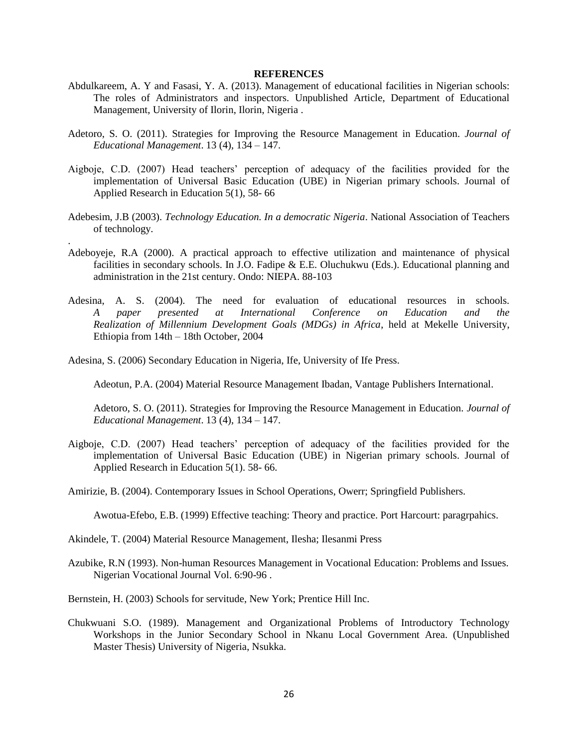#### **REFERENCES**

- Abdulkareem, A. Y and Fasasi, Y. A. (2013). Management of educational facilities in Nigerian schools: The roles of Administrators and inspectors. Unpublished Article, Department of Educational Management, University of Ilorin, Ilorin, Nigeria .
- Adetoro, S. O. (2011). Strategies for Improving the Resource Management in Education. *Journal of Educational Management*. 13 (4), 134 – 147.
- Aigboje, C.D. (2007) Head teachers' perception of adequacy of the facilities provided for the implementation of Universal Basic Education (UBE) in Nigerian primary schools. Journal of Applied Research in Education 5(1), 58- 66
- Adebesim, J.B (2003). *Technology Education. In a democratic Nigeria*. National Association of Teachers of technology.
- Adeboyeje, R.A (2000). A practical approach to effective utilization and maintenance of physical facilities in secondary schools. In J.O. Fadipe & E.E. Oluchukwu (Eds.). Educational planning and administration in the 21st century. Ondo: NIEPA. 88-103
- Adesina, A. S. (2004). The need for evaluation of educational resources in schools. *A paper presented at International Conference on Education and the Realization of Millennium Development Goals (MDGs) in Africa*, held at Mekelle University, Ethiopia from 14th – 18th October, 2004

Adesina, S. (2006) Secondary Education in Nigeria, Ife, University of Ife Press.

.

Adeotun, P.A. (2004) Material Resource Management Ibadan, Vantage Publishers International.

Adetoro, S. O. (2011). Strategies for Improving the Resource Management in Education. *Journal of Educational Management*. 13 (4), 134 – 147.

- Aigboje, C.D. (2007) Head teachers' perception of adequacy of the facilities provided for the implementation of Universal Basic Education (UBE) in Nigerian primary schools. Journal of Applied Research in Education 5(1). 58- 66.
- Amirizie, B. (2004). Contemporary Issues in School Operations, Owerr; Springfield Publishers.

Awotua-Efebo, E.B. (1999) Effective teaching: Theory and practice. Port Harcourt: paragrpahics.

Akindele, T. (2004) Material Resource Management, Ilesha; Ilesanmi Press

- Azubike, R.N (1993). Non-human Resources Management in Vocational Education: Problems and Issues. Nigerian Vocational Journal Vol. 6:90-96 .
- Bernstein, H. (2003) Schools for servitude, New York; Prentice Hill Inc.
- Chukwuani S.O. (1989). Management and Organizational Problems of Introductory Technology Workshops in the Junior Secondary School in Nkanu Local Government Area. (Unpublished Master Thesis) University of Nigeria, Nsukka.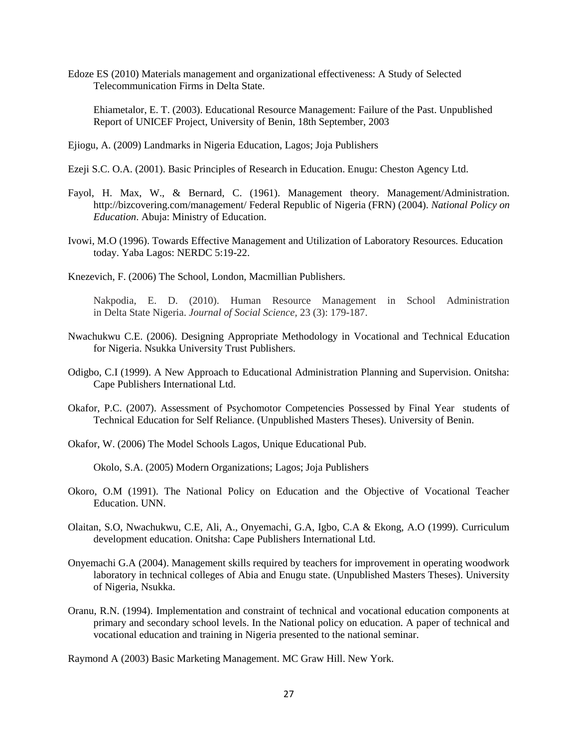Edoze ES (2010) Materials management and organizational effectiveness: A Study of Selected Telecommunication Firms in Delta State.

Ehiametalor, E. T. (2003). Educational Resource Management: Failure of the Past. Unpublished Report of UNICEF Project, University of Benin, 18th September, 2003

- Ejiogu, A. (2009) Landmarks in Nigeria Education, Lagos; Joja Publishers
- Ezeji S.C. O.A. (2001). Basic Principles of Research in Education. Enugu: Cheston Agency Ltd.
- Fayol, H. Max, W., & Bernard, C. (1961). Management theory. Management/Administration. http://bizcovering.com/management/ Federal Republic of Nigeria (FRN) (2004). *National Policy on Education*. Abuja: Ministry of Education.
- Ivowi, M.O (1996). Towards Effective Management and Utilization of Laboratory Resources. Education today. Yaba Lagos: NERDC 5:19-22.
- Knezevich, F. (2006) The School, London, Macmillian Publishers.

Nakpodia, E. D. (2010). Human Resource Management in School Administration in Delta State Nigeria. *Journal of Social Science,* 23 (3): 179-187.

- Nwachukwu C.E. (2006). Designing Appropriate Methodology in Vocational and Technical Education for Nigeria. Nsukka University Trust Publishers.
- Odigbo, C.I (1999). A New Approach to Educational Administration Planning and Supervision. Onitsha: Cape Publishers International Ltd.
- Okafor, P.C. (2007). Assessment of Psychomotor Competencies Possessed by Final Year students of Technical Education for Self Reliance. (Unpublished Masters Theses). University of Benin.
- Okafor, W. (2006) The Model Schools Lagos, Unique Educational Pub.

Okolo, S.A. (2005) Modern Organizations; Lagos; Joja Publishers

- Okoro, O.M (1991). The National Policy on Education and the Objective of Vocational Teacher Education. UNN.
- Olaitan, S.O, Nwachukwu, C.E, Ali, A., Onyemachi, G.A, Igbo, C.A & Ekong, A.O (1999). Curriculum development education. Onitsha: Cape Publishers International Ltd.
- Onyemachi G.A (2004). Management skills required by teachers for improvement in operating woodwork laboratory in technical colleges of Abia and Enugu state. (Unpublished Masters Theses). University of Nigeria, Nsukka.
- Oranu, R.N. (1994). Implementation and constraint of technical and vocational education components at primary and secondary school levels. In the National policy on education. A paper of technical and vocational education and training in Nigeria presented to the national seminar.

Raymond A (2003) Basic Marketing Management. MC Graw Hill. New York.